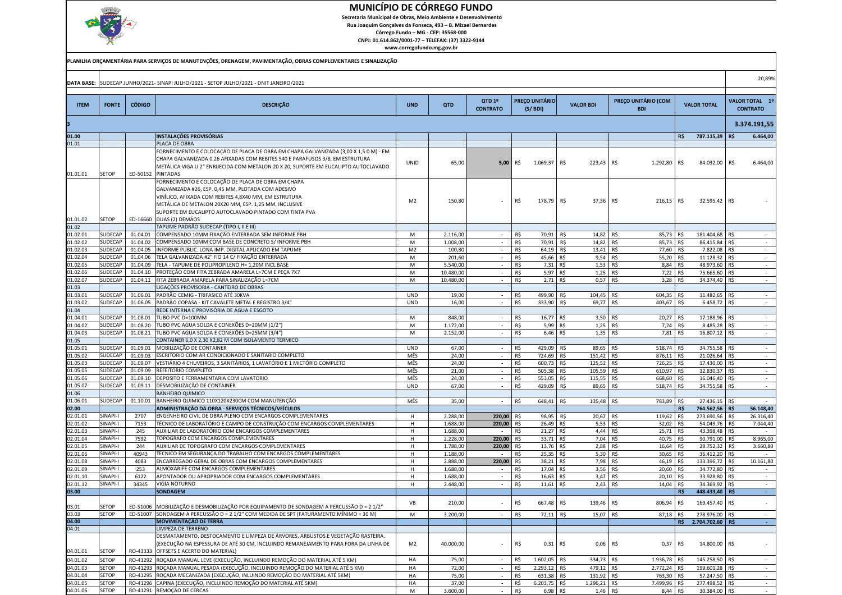

Secretaria Municipal de Obras, Meio Ambiente e Desenvolvimento

 Rua Joaquim Gonçalves da Fonseca, 493 – B. Mizael BernardesCórrego Fundo – MG - CEP: 35568-000

CNPJ: 01.614.862/0001-77 – TELEFAX: (37) 3322-9144

| PLANILHA ORCAMENTÁRIA PARA SERVIÇOS DE MANUTENÇÕES, DRENAGEM, PAVIMENTAÇÃO, OBRAS COMPLEMENTARES E SINALIZAÇÃO |                                  |                      |                                                                                                                                                                                                                                                                                                         |                     |                      |                                    |            |                                  |                      |                                   |                    |                        |            |                                   |
|----------------------------------------------------------------------------------------------------------------|----------------------------------|----------------------|---------------------------------------------------------------------------------------------------------------------------------------------------------------------------------------------------------------------------------------------------------------------------------------------------------|---------------------|----------------------|------------------------------------|------------|----------------------------------|----------------------|-----------------------------------|--------------------|------------------------|------------|-----------------------------------|
|                                                                                                                |                                  |                      | DATA BASE: SUDECAP JUNHO/2021- SINAPI JULHO/2021 - SETOP JULHO/2021 - DNIT JANEIRO/2021                                                                                                                                                                                                                 |                     |                      |                                    |            |                                  |                      |                                   |                    |                        |            | 20,89%                            |
| <b>ITEM</b>                                                                                                    | <b>FONTE</b>                     | <b>CÓDIGO</b>        | <b>DESCRIÇÃO</b>                                                                                                                                                                                                                                                                                        | <b>UND</b>          | <b>QTD</b>           | QTD 1º<br><b>CONTRATO</b>          |            | <b>PREÇO UNITÁRIO</b><br>(S/BDI) | <b>VALOR BDI</b>     | PREÇO UNITÁRIO (COM<br><b>BDI</b> | <b>VALOR TOTAL</b> |                        |            | VALOR TOTAL 1º<br><b>CONTRATO</b> |
|                                                                                                                |                                  |                      |                                                                                                                                                                                                                                                                                                         |                     |                      |                                    |            |                                  |                      |                                   |                    |                        |            | 3.374.191,55                      |
| 01.00                                                                                                          |                                  |                      | <b>INSTALAÇÕES PROVISÓRIAS</b>                                                                                                                                                                                                                                                                          |                     |                      |                                    |            |                                  |                      |                                   | R\$                | 787.115,39             | R\$        | 6.464,00                          |
| 01.01                                                                                                          |                                  |                      | PLACA DE OBRA                                                                                                                                                                                                                                                                                           |                     |                      |                                    |            |                                  |                      |                                   |                    |                        |            |                                   |
| 01.01.01                                                                                                       | <b>SETOP</b>                     | ED-50152             | FORNECIMENTO E COLOCAÇÃO DE PLACA DE OBRA EM CHAPA GALVANIZADA (3,00 X 1,5 0 M) - EM<br>CHAPA GALVANIZADA 0,26 AFIXADAS COM REBITES 540 E PARAFUSOS 3/8, EM ESTRUTURA<br>METÁLICA VIGA U 2" ENRIJECIDA COM METALON 20 X 20, SUPORTE EM EUCALIPTO AUTOCLAVADO<br><b>PINTADAS</b>                         | UNID                | 65,00                | 5,00                               | R\$        | 1.069,37                         | R\$<br>223,43        | R\$<br>1.292,80                   | R\$                | 84.032,00              | R\$        | 6.464,00                          |
| 01.01.02                                                                                                       | <b>SETOP</b>                     | ED-16660             | FORNECIMENTO E COLOCAÇÃO DE PLACA DE OBRA EM CHAPA<br>GALVANIZADA #26, ESP. 0,45 MM, PLOTADA COM ADESIVO<br>VINÍLICO, AFIXADA COM REBITES 4,8X40 MM, EM ESTRUTURA<br>METÁLICA DE METALON 20X20 MM, ESP. 1,25 MM, INCLUSIVE<br>SUPORTE EM EUCALIPTO AUTOCLAVADO PINTADO COM TINTA PVA<br>DUAS (2) DEMÃOS | M <sub>2</sub>      | 150,80               |                                    | R\$        | 178,79 R\$                       | 37,36                | R\$<br>216,15                     | R\$                | 32.595,42 R\$          |            |                                   |
| 01.02                                                                                                          |                                  |                      | TAPUME PADRÃO SUDECAP (TIPO I, II E III)                                                                                                                                                                                                                                                                |                     |                      |                                    |            |                                  |                      |                                   |                    |                        |            |                                   |
| 01.02.01                                                                                                       | <b>SUDECAP</b>                   | 01.04.01             | COMPENSADO 10MM FIXAÇÃO ENTERRADA SEM INFORME PBH                                                                                                                                                                                                                                                       | M                   | 2.116,00             | $\overline{\phantom{a}}$           | R\$        | 70,91                            | R\$<br>14,82         | 85,73<br>R\$                      | R\$                | 181.404,68             | R\$        | $\sim$                            |
| 01.02.02                                                                                                       | <b>SUDECAP</b><br><b>SUDECAF</b> | 01.04.02             | COMPENSADO 10MM COM BASE DE CONCRETO S/ INFORME PBH<br>INFORME PUBLIC. LONA IMP. DIGITAL APLICADO EM TAPUME                                                                                                                                                                                             | M                   | 1.008,00             | $\sim$                             | R\$        | 70,91                            | R\$<br>14,82         | R\$<br>85,73                      | R\$                | 86.415,84              | R\$        | $\sim$                            |
| 01.02.03<br>01.02.04                                                                                           | <b>SUDECAR</b>                   | 01.04.05<br>01.04.06 | TELA GALVANIZADA #2" FIO 14 C/ FIXAÇÃO ENTERRADA                                                                                                                                                                                                                                                        | M <sub>2</sub><br>M | 100,80<br>201,60     | $\overline{\phantom{a}}$<br>$\sim$ | R\$<br>R\$ | 64,19<br>45,66 R\$               | R\$<br>13,41<br>9,54 | R\$<br>77,60<br>R\$<br>55,20      | R\$<br>R\$         | 7.822,08<br>11.128,32  | R\$<br>R\$ | $\sim$<br>$\sim$                  |
| 01.02.05                                                                                                       | <b>SUDECAR</b>                   | 01.04.09             | TELA - TAPUME DE POLIPROPILENO H= 1,20M INCL BASE                                                                                                                                                                                                                                                       | M                   | 5.540,00             | $\sim$                             | R\$        | 7,31                             | R\$<br>1,53          | R\$<br>8,84                       | R\$                | 48.973,60              | R\$        | $\sim$                            |
| 01.02.06                                                                                                       | <b>SUDECAF</b>                   | 01.04.10             | PROTEÇÃO COM FITA ZEBRADA AMARELA L=7CM E PEÇA 7X7                                                                                                                                                                                                                                                      | M                   | 10.480,00            | $\sim$                             | R\$        | 5,97                             | 1,25<br>R\$          | 7,22<br>R\$                       | R\$                | 75.665,60              | R\$        | $\sim$                            |
| 01.02.07                                                                                                       | <b>SUDECAP</b>                   | 01.04.11             | FITA ZEBRADA AMARELA PARA SINALIZAÇÃO L=7CM                                                                                                                                                                                                                                                             | M                   | 10.480,00            | $\overline{\phantom{a}}$           | R\$        | $2,71$ R\$                       | 0,57                 | R\$<br>3,28                       | R\$                | 34.374,40              | R\$        | $\sim$                            |
| 01.03                                                                                                          |                                  |                      | LIGAÇÕES PROVISORIA - CANTEIRO DE OBRAS                                                                                                                                                                                                                                                                 |                     |                      |                                    |            |                                  |                      |                                   |                    |                        |            |                                   |
| 01.03.01                                                                                                       | <b>SUDECAR</b>                   | 01.06.01             | PADRÃO CEMIG - TRIFASICO ATÉ 30KVA                                                                                                                                                                                                                                                                      | <b>UND</b>          | 19,00                | $\overline{\phantom{a}}$           | R\$        | 499,90                           | R\$<br>104,45        | R\$<br>604,35                     | R\$                | 11.482,65              | R\$        | $\sim$                            |
| 01.03.02                                                                                                       | <b>SUDECAP</b>                   | 01.06.05             | PADRÃO COPASA - KIT CAVALETE METAL E REGISTRO 3/4"                                                                                                                                                                                                                                                      | <b>UND</b>          | 16,00                | $\overline{\phantom{a}}$           | R\$        | 333,90                           | R\$<br>69,77         | R\$<br>403,67                     | R\$                | 6.458,72               | R\$        | $\sim$                            |
| 01.04                                                                                                          |                                  |                      | REDE INTERNA E PROVISÓRIA DE ÁGUA E ESGOTO                                                                                                                                                                                                                                                              |                     |                      |                                    |            |                                  |                      |                                   |                    |                        |            |                                   |
| 01.04.01                                                                                                       | SUDECAP                          | 01.08.01             | TUBO PVC D=100MM                                                                                                                                                                                                                                                                                        | M                   | 848,00               | $\overline{\phantom{a}}$           | R\$        | 16,77                            | 3,50<br>R\$          | R\$<br>20,27                      | R\$                | 17.188,96              | R\$        | $\sim$                            |
| 01.04.02                                                                                                       | <b>SUDECAP</b>                   | 01.08.20             | TUBO PVC AGUA SOLDA E CONEXÕES D=20MM (1/2")                                                                                                                                                                                                                                                            | M                   | 1.172,00             | $\overline{\phantom{a}}$           | R\$        | 5,99                             | R\$<br>1,25          | R\$<br>7,24                       | R\$                | 8.485,28               | R\$        | $\sim$                            |
| 01.04.03                                                                                                       | <b>SUDECAP</b>                   | 01.08.21             | TUBO PVC AGUA SOLDA E CONEXÕES D=25MM (3/4")<br>CONTAINER 6,0 X 2,30 X2,82 M COM ISOLAMENTO TERMICO                                                                                                                                                                                                     | M                   | 2.152,00             |                                    | R\$        | 6,46                             | R\$<br>1,35          | R\$<br>7,81                       | R\$                | 16.807,12              | R\$        | $\sim$                            |
| 01.05<br>01.05.01                                                                                              | SUDECAP                          | 01.09.01             | MOBILIZAÇÃO DE CONTAINER                                                                                                                                                                                                                                                                                | <b>UND</b>          | 67,00                |                                    | R\$        | 429,09                           | 89,65<br>R\$         | R\$<br>518,74                     | R\$                | 34.755,58              | R\$        | $\sim$                            |
| 01.05.02                                                                                                       | SUDECAF                          | 01.09.03             | ESCRITORIO COM AR CONDICIONADO E SANITARIO COMPLETO                                                                                                                                                                                                                                                     | MÊS                 | 24,00                | $\sim$                             | R\$        | 724,69                           | R\$<br>151,42        | R\$<br>876,11                     | R\$                | 21.026,64              | R\$        | $\sim$                            |
| 01.05.03                                                                                                       | <b>SUDECAR</b>                   | 01.09.07             | VESTIÁRIO 4 CHUVEIROS, 3 SANITÁRIOS, 1 LAVATÓRIO E 1 MICTÓRIO COMPLETO                                                                                                                                                                                                                                  | MÊS                 | 24,00                | $\overline{\phantom{a}}$           | R\$        | 600,73                           | R\$<br>125,52        | R\$<br>726,25                     | R\$                | 17.430,00              | R\$        | $\sim$                            |
| 01.05.05                                                                                                       | <b>SUDECAR</b>                   | 01.09.09             | REFEITORIO COMPLETO                                                                                                                                                                                                                                                                                     | MÊS                 | 21,00                | $\sim$                             | R\$        | 505,38                           | R\$<br>105,59        | R\$<br>610,97                     | R\$                | 12.830,37              | R\$        | $\sim$                            |
| 01.05.06                                                                                                       | <b>SUDECAR</b>                   | 01.09.10             | DEPOSITO E FERRAMENTARIA COM LAVATORIO                                                                                                                                                                                                                                                                  | MÊS                 | 24,00                |                                    | R\$        | 553,05                           | R\$<br>115,55        | R\$<br>668,60                     | R\$                | 16.046,40              | R\$        | $\sim$                            |
| 01.05.07                                                                                                       | <b>SUDECAP</b>                   | 01.09.11             | DESMOBILIZAÇÃO DE CONTAINER                                                                                                                                                                                                                                                                             | <b>UND</b>          | 67,00                | $\sim$                             | R\$        | 429,09                           | R\$<br>89,65         | R\$<br>518,74                     | R\$                | 34.755,58              | R\$        | $\sim$                            |
| 01.06                                                                                                          |                                  |                      | <b>BANHEIRO QUIMICO</b>                                                                                                                                                                                                                                                                                 |                     |                      |                                    |            |                                  |                      |                                   |                    |                        |            |                                   |
| 01.06.01                                                                                                       | <b>SUDECAP</b>                   | 01.10.01             | BANHEIRO QUIMICO 110X120X230CM COM MANUTENÇÃO                                                                                                                                                                                                                                                           | MÊS                 | 35,00                | $\overline{\phantom{a}}$           | R\$        | 648,41                           | 135,48<br>IR\$       | 783,89<br>R\$                     | R\$                | 27.436,15              | R\$        | $\sim$                            |
| 02.00                                                                                                          |                                  |                      | ADMINISTRAÇÃO DA OBRA - SERVIÇOS TÉCNICOS/VEÍCULOS                                                                                                                                                                                                                                                      |                     |                      |                                    |            |                                  |                      |                                   | R\$                | 764.562,56             | R\$        | 56.148,40                         |
| 02.01.01                                                                                                       | SINAPI-I                         | 2707                 | ENGENHEIRO CIVIL DE OBRA PLENO COM ENCARGOS COMPLEMENTARES                                                                                                                                                                                                                                              | H                   | 2.288,00             | 220,00                             | R\$        | 98,95 R\$                        | 20,67                | 119,62<br>R\$                     | R\$                | 273.690,56             | R\$        | 26.316,40                         |
| 02.01.02<br>02.01.03                                                                                           | SINAPI-I<br>SINAPI-I             | 7153<br>245          | TÉCNICO DE LABORATÓRIO E CAMPO DE CONSTRUÇÃO COM ENCARGOS COMPLEMENTARES<br>AUXILIAR DE LABORATÓRIO COM ENCARGOS COMPLEMENTARES                                                                                                                                                                         | H                   | 1.688,00             | 220,00                             | R\$        | 26,49                            | R\$<br>5,53          | R\$<br>32,02                      | R\$                | 54.049,76              | R\$        | 7.044,40<br>$\sim$                |
| 02.01.04                                                                                                       | SINAPI-I                         | 7592                 | TOPOGRAFO COM ENCARGOS COMPLEMENTARES                                                                                                                                                                                                                                                                   | H<br>H              | 1.688,00<br>2.228,00 | $\overline{\phantom{a}}$<br>220,00 | R\$<br>R\$ | 21,27<br>33,71 R\$               | R\$<br>4,44<br>7,04  | R\$<br>25,71<br>R\$<br>40,75      | R\$<br>R\$         | 43.398,48<br>90.791,00 | R\$<br>R\$ | 8.965,00                          |
| 02.01.05                                                                                                       | SINAPI-I                         | 244                  | AUXILIAR DE TOPOGRAFO COM ENCARGOS COMPLEMENTARES                                                                                                                                                                                                                                                       | H                   | 1.788,00             | 220,00                             | R\$        | 13,76                            | 2,88<br>R\$          | R\$<br>16,64                      | R\$                | 29.752,32              | R\$        | 3.660,80                          |
| 02.01.06                                                                                                       | SINAPI-I                         | 40943                | TECNICO EM SEGURANÇA DO TRABALHO COM ENCARGOS COMPLEMENTARES                                                                                                                                                                                                                                            | H                   | 1.188,00             | $\overline{\phantom{a}}$           | R\$        | 25,35                            | R\$<br>5,30          | R\$<br>30,65                      | R\$                | 36.412,20              | R\$        | $\overline{\phantom{a}}$          |
| 02.01.08                                                                                                       | SINAPI-I                         | 4083                 | ENCARREGADO GERAL DE OBRAS COM ENCARGOS COMPLEMENTARES                                                                                                                                                                                                                                                  | H                   | 2.888,00             | 220,00                             | R\$        | 38,21                            | R\$<br>7,98          | R\$<br>46,19                      | R\$                | 133.396,72             | R\$        | 10.161,80                         |
| 02.01.09                                                                                                       | SINAPI-I                         | 253                  | ALMOXARIFE COM ENCARGOS COMPLEMENTARES                                                                                                                                                                                                                                                                  | H                   | 1.688,00             | $\overline{\phantom{a}}$           | R\$        | 17,04 R\$                        | 3,56                 | R\$<br>20,60                      | R\$                | 34.772,80              | R\$        | $\sim$                            |
| 02.01.10                                                                                                       | SINAPI-I                         | 6122                 | APONTADOR OU APROPRIADOR COM ENCARGOS COMPLEMENTARES                                                                                                                                                                                                                                                    | H                   | 1.688,00             | $\overline{a}$                     | R\$        | 16,63                            | R\$<br>3,47          | R\$<br>20,10                      | R\$                | 33.928,80              | R\$        | $\sim$                            |
| 02.01.12                                                                                                       | SINAPI-I                         | 34345                | <b>VIGIA NOTURNO</b>                                                                                                                                                                                                                                                                                    | H                   | 2.448,00             | $\overline{\phantom{a}}$           | R\$        | 11,61                            | R\$<br>2,43          | R\$<br>14,04                      | R\$                | 34.369,92              | R\$        | $\sim$                            |
| 03.00                                                                                                          |                                  |                      | <b>SONDAGEM</b>                                                                                                                                                                                                                                                                                         |                     |                      |                                    |            |                                  |                      |                                   | R\$                | 448.433,40             | R\$        | $\sim$                            |
| 03.01                                                                                                          | <b>SETOP</b>                     |                      | ED-51006 MOBILIZAÇÃO E DESMOBILIZAÇÃO POR EQUIPAMENTO DE SONDAGEM A PERCUSSÃO D = 2 1/2"                                                                                                                                                                                                                | VB                  | 210,00               |                                    | R\$        | 667,48 R\$                       | 139,46 R\$           | 806,94 R\$                        |                    | 169.457,40 R\$         |            |                                   |
| 03.03                                                                                                          | <b>SETOP</b>                     |                      | ED-51007 SONDAGEM A PERCUSSÃO D = 2 1/2" COM MEDIDA DE SPT (FATURAMENTO MÍNIMO = 30 M)                                                                                                                                                                                                                  | M                   | 3.200,00             | $\overline{\phantom{a}}$           | R\$        | 72,11 R\$                        | 15,07                | R\$<br>87,18                      | R\$                | 278.976,00             | R\$        | $\sim$                            |
| 04.00<br>04.01                                                                                                 |                                  |                      | <b>MOVIMENTAÇÃO DE TERRA</b><br>LIMPEZA DE TERRENO                                                                                                                                                                                                                                                      |                     |                      |                                    |            |                                  |                      |                                   |                    | R\$ 2.704.702,60 R\$   |            | $\sim$                            |
| 04.01.01                                                                                                       | <b>SETOP</b>                     | RO-43333             | DESMATAMENTO, DESTOCAMENTO E LIMPEZA DE ÁRVORES, ARBUSTOS E VEGETAÇÃO RASTEIRA.<br>(EXECUÇÃO NA ESPESSURA DE ATÉ 30 CM, INCLUINDO REMANEJAMENTO PARA FORA DA LINHA DE<br>OFFSETS E ACERTO DO MATERIAL)                                                                                                  | M <sub>2</sub>      | 40.000,00            |                                    | R\$        | $0,31$ R\$                       | 0,06                 | R\$<br>0,37                       | R\$                | 14.800,00 R\$          |            | $\sim$                            |
| 04.01.02                                                                                                       | <b>SETOP</b>                     |                      | RO-41292 ROÇADA MANUAL LEVE (EXECUÇÃO, INCLUINDO REMOÇÃO DO MATERIAL ATÉ 5 KM)                                                                                                                                                                                                                          | HA                  | 75,00                | $\sim$                             | R\$        | 1.602,05                         | R\$<br>334,73        | 1.936,78<br>R\$                   | R\$                | 145.258,50             | R\$        | $\sim$                            |
| 04.01.03                                                                                                       | <b>SETOP</b>                     |                      | RO-41293 ROÇADA MANUAL PESADA (EXECUÇÃO, INCLUINDO REMOÇÃO DO MATERIAL ATÉ 5 KM)                                                                                                                                                                                                                        | HA                  | 72,00                | $\sim$                             | R\$        | 2.293,12 R\$                     | 479,12 R\$           | 2.772,24 R\$                      |                    | 199.601,28 R\$         |            | $\sim$                            |
| 04.01.04                                                                                                       | <b>SETOP</b>                     |                      | RO-41295 ROÇADA MECANIZADA (EXECUÇÃO, INLUINDO REMOÇÃO DO MATERIAL ATÉ 5KM)                                                                                                                                                                                                                             | HA                  | 75,00                | $\sim$                             | R\$        | 631,38 R\$                       | 131,92 R\$           | 763,30 R\$                        |                    | 57.247,50 R\$          |            | $\sim$                            |
| 04.01.05                                                                                                       | <b>SETOP</b>                     |                      | RO-41296 CAPINA (EXECUÇÃO, INCLUINDO REMOÇÃO DO MATERIAL ATÉ 5KM)                                                                                                                                                                                                                                       | HA                  | 37,00                | $\sim$                             | R\$        | 6.203,75 R\$                     | $1.296,21$ R\$       | 7.499,96 R\$                      |                    | 277.498,52             | R\$        | $\sim$                            |
| 04.01.06                                                                                                       | <b>SETOP</b>                     |                      | RO-41291 REMOÇÃO DE CERCAS                                                                                                                                                                                                                                                                              | M                   | 3.600,00             | $\sim$                             | R\$        | $6,98$ R\$                       | $1,46$ R\$           | 8,44 R\$                          |                    | 30.384,00 R\$          |            | $\sim$                            |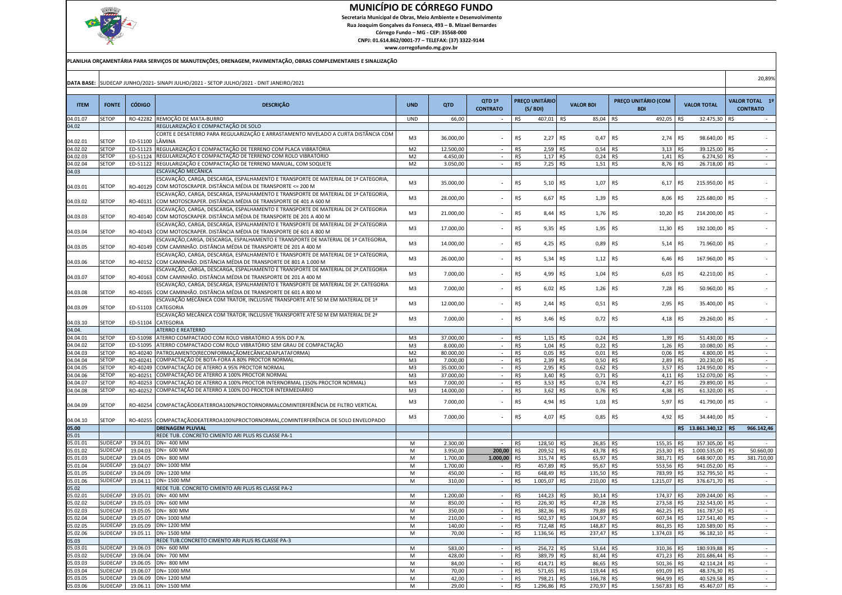

 Secretaria Municipal de Obras, Meio Ambiente e DesenvolvimentoRua Joaquim Gonçalves da Fonseca, 493 – B. Mizael Bernardes

Córrego Fundo – MG - CEP: 35568-000 CNPJ: 01.614.862/0001-77 – TELEFAX: (37) 3322-9144

|                      |                       |                      | PLANILHA ORÇAMENTÁRIA PARA SERVIÇOS DE MANUTENÇÕES, DRENAGEM, PAVIMENTAÇÃO, OBRAS COMPLEMENTARES E SINALIZAÇÃO                                      |                      |                       |                           |            |                                  |                               |                                   |            |                                |     |                                   |
|----------------------|-----------------------|----------------------|-----------------------------------------------------------------------------------------------------------------------------------------------------|----------------------|-----------------------|---------------------------|------------|----------------------------------|-------------------------------|-----------------------------------|------------|--------------------------------|-----|-----------------------------------|
|                      |                       |                      | DATA BASE: SUDECAP JUNHO/2021- SINAPI JULHO/2021 - SETOP JULHO/2021 - DNIT JANEIRO/2021                                                             |                      |                       |                           |            |                                  |                               |                                   |            |                                |     | 20,89%                            |
| <b>ITEM</b>          | <b>FONTE</b>          | <b>CÓDIGO</b>        | <b>DESCRIÇÃO</b>                                                                                                                                    | <b>UND</b>           | <b>QTD</b>            | QTD 1º<br><b>CONTRATO</b> |            | <b>PREÇO UNITÁRIO</b><br>(S/BDI) | <b>VALOR BDI</b>              | PREÇO UNITÁRIO (COM<br><b>BDI</b> |            | <b>VALOR TOTAL</b>             |     | VALOR TOTAL 1º<br><b>CONTRATO</b> |
| 04.01.07             | SETOP                 |                      | RO-42282 REMOÇÃO DE MATA-BURRO                                                                                                                      | UND                  | 66,00                 | $\sim$                    | R\$        | 407,01 R\$                       | 85,04 R\$                     | 492,05                            | R\$        | 32.475,30 R\$                  |     | $\sim$                            |
| 04.02                |                       |                      | REGULARIZAÇÃO E COMPACTAÇÃO DE SOLO                                                                                                                 |                      |                       |                           |            |                                  |                               |                                   |            |                                |     |                                   |
| 04.02.01             | SETOP                 | ED-51100             | CORTE E DESATERRO PARA REGULARIZAÇÃO E ARRASTAMENTO NIVELADO A CURTA DISTÂNCIA COM<br>LÂMINA                                                        | M3                   | 36.000,00             |                           | R\$        | 2,27 R\$                         | $0,47$ R\$                    | 2,74 R\$                          |            | 98.640,00 R\$                  |     |                                   |
| 04.02.02             | SETOP                 | ED-51123             | REGULARIZAÇÃO E COMPACTAÇÃO DE TERRENO COM PLACA VIBRATÓRIA                                                                                         | M <sub>2</sub>       | 12.500,00             |                           | R\$        | $2,59$ R\$                       | $0,54$ R\$                    | 3,13                              | R\$        | 39.125,00 R\$                  |     | $\sim$                            |
| 04.02.03             | SETOP                 | ED-51124             | REGULARIZAÇÃO E COMPACTAÇÃO DE TERRENO COM ROLO VIBRATÓRIO                                                                                          | M <sub>2</sub>       | 4.450,00              |                           | R\$        | $1,17$ R\$                       | $0,24$ R\$                    | 1,41                              | R\$        | 6.274,50                       | R\$ | $\sim$                            |
| 04.02.04             | SETOP                 |                      | ED-51122 REGULARIZAÇÃO E COMPACTAÇÃO DE TERRENO MANUAL, COM SOQUETE                                                                                 | M <sub>2</sub>       | 3.050,00              | $\sim$                    | R\$        | 7,25 R\$                         | $1,51$ R\$                    | 8,76 R\$                          |            | 26.718,00 R\$                  |     | $\sim$                            |
| 04.03                |                       |                      | ESCAVAÇÃO MECÂNICA                                                                                                                                  |                      |                       |                           |            |                                  |                               |                                   |            |                                |     |                                   |
|                      |                       |                      | ESCAVAÇÃO, CARGA, DESCARGA, ESPALHAMENTO E TRANSPORTE DE MATERIAL DE 1ª CATEGORIA,                                                                  | M3                   | 35.000,00             |                           | R\$        | $5,10$ R\$                       | 1,07                          | R\$<br>6,17                       | R\$        | 215.950,00                     | R\$ |                                   |
| 04.03.01             | SETOP                 | RO-40129             | COM MOTOSCRAPER. DISTÂNCIA MÉDIA DE TRANSPORTE <= 200 M                                                                                             |                      |                       |                           |            |                                  |                               |                                   |            |                                |     |                                   |
| 04.03.02             | SETOP                 | RO-40131             | ESCAVAÇÃO, CARGA, DESCARGA, ESPALHAMENTO E TRANSPORTE DE MATERIAL DE 1ª CATEGORIA,<br>COM MOTOSCRAPER. DISTÂNCIA MÉDIA DE TRANSPORTE DE 401 A 600 M | M3                   | 28.000,00             |                           | R\$        | 6,67 R\$                         | $1,39$ R\$                    | 8,06                              | R\$        | 225.680,00 R\$                 |     |                                   |
|                      |                       |                      | ESCAVAÇÃO, CARGA, DESCARGA, ESPALHAMENTO E TRANSPORTE DE MATERIAL DE 2ª CATEGORIA                                                                   |                      |                       |                           |            |                                  |                               |                                   |            |                                |     |                                   |
| 04.03.03             | SETOP                 | RO-40140             | COM MOTOSCRAPER. DISTÂNCIA MÉDIA DE TRANSPORTE DE 201 A 400 M                                                                                       | M3                   | 21.000,00             |                           | R\$        | 8,44 R\$                         | $1,76$ R\$                    | 10,20                             | R\$        | 214.200,00 R\$                 |     |                                   |
|                      |                       |                      | ESCAVAÇÃO, CARGA, DESCARGA, ESPALHAMENTO E TRANSPORTE DE MATERIAL DE 2ª CATEGORIA                                                                   | M3                   |                       |                           | R\$        | 9,35 R\$                         | $1,95$ R\$                    |                                   |            | 192.100,00 R\$                 |     |                                   |
| 04.03.04             | SETOP                 | RO-40143             | COM MOTOSCRAPER. DISTÂNCIA MÉDIA DE TRANSPORTE DE 601 A 800 M                                                                                       |                      | 17.000,00             |                           |            |                                  |                               | 11,30                             | R\$        |                                |     |                                   |
|                      |                       |                      | ESCAVAÇÃO,CARGA, DESCARGA, ESPALHAMENTO E TRANSPORTE DE MATERIAL DE 1ª CATEGORIA,                                                                   | M3                   | 14.000,00             |                           | R\$        | 4,25 R\$                         | 0,89                          | R\$<br>5,14                       | R\$        | 71.960,00 R\$                  |     |                                   |
| 04.03.05             | <b>SETOP</b>          | RO-40149             | COM CAMINHÃO. DISTÂNCIA MÉDIA DE TRANSPORTE DE 201 A 400 M<br>ESCAVAÇÃO, CARGA, DESCARGA, ESPALHAMENTO E TRANSPORTE DE MATERIAL DE 1ª CATEGORIA,    |                      |                       |                           |            |                                  |                               |                                   |            |                                |     |                                   |
| 04.03.06             | SETOP                 | RO-40152             | COM CAMINHÃO. DISTÂNCIA MÉDIA DE TRANSPORTE DE 801 A 1.000 M                                                                                        | M3                   | 26.000,00             |                           | R\$        | 5,34 R\$                         | $1,12$ R\$                    | 6,46                              | R\$        | 167.960,00 R\$                 |     |                                   |
|                      |                       |                      | ESCAVAÇÃO, CARGA, DESCARGA, ESPALHAMENTO E TRANSPORTE DE MATERIAL DE 2ª CATEGORIA                                                                   |                      |                       |                           |            |                                  |                               |                                   |            |                                |     |                                   |
| 04.03.07             | SETOP                 | RO-40163             | COM CAMINHÃO. DISTÂNCIA MÉDIA DE TRANSPORTE DE 201 A 400 M                                                                                          | M3                   | 7.000,00              |                           | R\$        | 4,99 R\$                         | 1,04                          | R\$<br>6,03                       | R\$        | 42.210,00 R\$                  |     |                                   |
|                      |                       |                      | ESCAVAÇÃO, CARGA, DESCARGA, ESPALHAMENTO E TRANSPORTE DE MATERIAL DE 2ª. CATEGORIA                                                                  | M <sub>3</sub>       | 7.000,00              |                           | R\$        | $6,02$ R\$                       | $1,26$ R\$                    | 7,28                              | R\$        | 50.960,00 R\$                  |     |                                   |
| 04.03.08             | SETOP                 | RO-40165             | COM CAMINHÃO. DISTÂNCIA MÉDIA DE TRANSPORTE DE 601 A 800 M<br>ESCAVAÇÃO MECÂNICA COM TRATOR, INCLUSIVE TRANSPORTE ATÉ 50 M EM MATERIAL DE 1ª        |                      |                       |                           |            |                                  |                               |                                   |            |                                |     |                                   |
| 04.03.09             | SETOP                 | ED-51103             | CATEGORIA                                                                                                                                           | M3                   | 12.000,00             |                           | R\$        | $2,44$ R\$                       | 0,51                          | R\$<br>2,95                       | R\$        | 35.400,00 R\$                  |     |                                   |
|                      |                       |                      | ESCAVAÇÃO MECÂNICA COM TRATOR, INCLUSIVE TRANSPORTE ATÉ 50 M EM MATERIAL DE 2ª                                                                      |                      |                       |                           |            |                                  |                               |                                   |            |                                |     |                                   |
| 04.03.10             | SETOP                 | ED-51104             | CATEGORIA                                                                                                                                           | M3                   | 7.000,00              |                           | R\$        | $3,46$ R\$                       | 0,72                          | R\$<br>4,18                       | R\$        | 29.260,00                      | R\$ |                                   |
| 04.04.               |                       |                      | ATERRO E REATERRO                                                                                                                                   |                      |                       |                           |            |                                  |                               |                                   |            |                                |     |                                   |
| 04.04.01             | <b>SETOP</b>          | ED-51098             | ATERRO COMPACTADO COM ROLO VIBRATÓRIO A 95% DO P.N.                                                                                                 | M3                   | 37.000,00             | $\sim$                    | R\$        | $1,15$ R\$                       | $0,24$ R\$                    | $1,39$ R\$                        |            | 51.430,00 R\$                  |     | $\sim$                            |
| 04.04.02             | SETOP                 | ED-51095             | ATERRO COMPACTADO COM ROLO VIBRATÓRIO SEM GRAU DE COMPACTAÇÃO                                                                                       | M3                   | 8.000,00              |                           | R\$        | $1,04$ R\$                       | 0,22                          | R\$<br>1,26                       | R\$        | 10.080,00 R\$                  |     | $\sim$                            |
| 04.04.03<br>04.04.04 | SETOP<br><b>SETOP</b> | RO-40240<br>RO-40241 | PATROLAMENTO(RECONFORMAÇÃOMECÂNICADAPLATAFORMA)<br>COMPACTAÇÃO DE BOTA-FORA A 80% PROCTOR NORMAL                                                    | M <sub>2</sub>       | 80.000,00             | $\sim$                    | R\$        | $0,05$ R\$                       | $0,01$ R\$                    | 0,06                              | R\$<br>R\$ | 4.800,00 R\$                   | R\$ | $\sim$<br>$\sim$                  |
| 04.04.05             | <b>SETOP</b>          | RO-40249             | COMPACTAÇÃO DE ATERRO A 95% PROCTOR NORMAL                                                                                                          | M3<br>M <sub>3</sub> | 7.000,00<br>35.000,00 | $\sim$                    | R\$<br>R\$ | 2,39 R\$<br>2,95 R\$             | $0,50$ R\$<br>$0,62$ R\$      | 2,89<br>3,57 R\$                  |            | 20.230,00<br>124.950,00 R\$    |     | $\sim$                            |
| 04.04.06             | <b>SETOP</b>          | RO-40251             | COMPACTAÇÃO DE ATERRO A 100% PROCTOR NORMAL                                                                                                         | M3                   | 37.000,00             | $\overline{\phantom{a}}$  | R\$        | $3,40$ R\$                       | $0,71$ R\$                    | 4,11                              | R\$        | 152.070,00                     | R\$ | $\sim$                            |
| 04.04.07             | SETOP                 | RO-40253             | COMPACTAÇÃO DE ATERRO A 100% PROCTOR INTERNORMAL (150% PROCTOR NORMAL)                                                                              | M3                   | 7.000,00              | $\sim$                    | R\$        | $3,53$ R\$                       | $0,74$ R\$                    | 4,27                              | R\$        | 29.890,00 R\$                  |     | $\sim$                            |
| 04.04.08             | <b>SETOP</b>          | RO-40252             | COMPACTAÇÃO DE ATERRO A 100% DO PROCTOR INTERMEDIÁRIO                                                                                               | M3                   | 14.000,00             |                           | R\$        | $3,62$ R\$                       | 0,76 R\$                      | 4,38                              | R\$        | 61.320,00                      | R\$ | $\sim$                            |
|                      |                       |                      |                                                                                                                                                     | M3                   | 7.000,00              |                           | R\$        | 4,94 R\$                         | 1,03                          | R\$<br>5,97                       | R\$        | 41.790,00                      | R\$ |                                   |
| 04.04.09             | SETOP                 | RO-40254             | COMPACTAÇÃODEATERROA100%PROCTORNORMALCOMINTERFERÊNCIA DE FILTRO VERTICAL                                                                            |                      |                       |                           |            |                                  |                               |                                   |            |                                |     |                                   |
| 04.04.10             | SETOP                 |                      | RO-40255 COMPACTAÇÃODEATERROA100%PROCTORNORMAL,COMINTERFERÊNCIA DE SOLO ENVELOPADO                                                                  | M3                   | 7.000,00              |                           | R\$        | 4,07 R\$                         | $0,85$ R\$                    | 4,92                              | R\$        | 34.440,00 R\$                  |     |                                   |
| 05.00                |                       |                      | <b>DRENAGEM PLUVIAL</b>                                                                                                                             |                      |                       |                           |            |                                  |                               |                                   |            | R\$ 13.861.340,12              | R\$ | 966.142,46                        |
| 05.01                |                       |                      | REDE TUB. CONCRETO CIMENTO ARI PLUS RS CLASSE PA-1                                                                                                  |                      |                       |                           |            |                                  |                               |                                   |            |                                |     |                                   |
| 05.01.01             | SUDECAP               | 19.04.01             | DN= 400 MM                                                                                                                                          | M                    | 2.300,00              |                           | R\$        | 128,50 R\$                       | 26,85 R\$                     | 155,35                            | R\$        | 357.305,00 R\$                 |     |                                   |
| 05.01.02             | SUDECAP<br>SUDECAP    | 19.04.03             | DN= 600 MM<br>DN= 800 MM                                                                                                                            | M                    | 3.950,00              | 200,00<br>1.000,00 R\$    | R\$        | 209,52<br>315,74 R\$             | R\$<br>43,78 R\$<br>65,97 R\$ | 253,30                            | R\$        | 1.000.535,00<br>648.907,00 R\$ | R\$ | 50.660,00<br>381.710,00           |
| 05.01.03<br>05.01.04 | SUDECAP               | 19.04.05<br>19.04.07 | DN= 1000 MM                                                                                                                                         | M<br>M               | 1.700,00<br>1.700,00  |                           | R\$        | 457,89 R\$                       | 95,67                         | 381,71 R\$<br>553,56<br>R\$       | R\$        | 941.052,00                     | R\$ |                                   |
| 05.01.05             | SUDECAP               | 19.04.09             | DN= 1200 MM                                                                                                                                         | М                    | 450,00                |                           | R\$        | 648,49                           | 135,50<br>  R\$               | R\$<br>783,99                     | R\$        | 352.795,50 R\$                 |     | $\sim$                            |
| 05.01.06             | SUDECAP               | 19.04.11             | DN= 1500 MM                                                                                                                                         | M                    | 310,00                |                           | R\$        | 1.005,07                         | 210,00 R\$<br>R\$             | 1.215,07                          | R\$        | 376.671,70 R\$                 |     |                                   |
| 05.02                |                       |                      | REDE TUB. CONCRETO CIMENTO ARI PLUS RS CLASSE PA-2                                                                                                  |                      |                       |                           |            |                                  |                               |                                   |            |                                |     |                                   |
| 05.02.01             | SUDECAP               |                      | 19.05.01 DN= 400 MM                                                                                                                                 | M                    | 1.200,00              | $\sim$                    | R\$        | 144,23 R\$                       | 30,14 R\$                     | 174,37                            | R\$        | 209.244,00 R\$                 |     |                                   |
| 05.02.02             | <b>SUDECAP</b>        |                      | 19.05.03 DN= 600 MM                                                                                                                                 | M                    | 850,00                | $\sim$                    | R\$        | 226,30 R\$                       | 47,28 R\$                     | 273,58 R\$                        |            | 232.543,00 R\$                 |     | $\sim$                            |
| 05.02.03             | SUDECAP               |                      | 19.05.05 DN= 800 MM                                                                                                                                 | M                    | 350,00                |                           | R\$        | 382,36 R\$                       | 79,89                         | 462,25<br>R\$                     | IR\$       | 161.787,50 R\$                 |     | $\sim$                            |
| 05.02.04             | SUDECAP               |                      | 19.05.07 DN= 1000 MM                                                                                                                                | M                    | 210,00                | $\sim$                    | R\$        | 502,37 R\$                       | 104,97 R\$                    | 607,34                            | R\$        | 127.541,40 R\$                 |     | $\sim$                            |
| 05.02.05             | SUDECAP               | 19.05.09             | DN= 1200 MM                                                                                                                                         | M                    | 140,00                | $\sim$                    | R\$        | 712,48 R\$                       | 148,87 R\$                    | 861,35                            | R\$        | 120.589,00 R\$                 |     | $\sim$                            |
| 05.02.06             | SUDECAP               | 19.05.11             | DN= 1500 MM                                                                                                                                         | M                    | 70,00                 | $\sim$                    | R\$        | 1.136,56 R\$                     | 237,47 R\$                    | 1.374,03                          | R\$        | 96.182,10 R\$                  |     | $\sim$                            |
| 05.03<br>05.03.01    | SUDECAP               | 19.06.03             | REDE TUB.CONCRETO CIMENTO ARI PLUS RS CLASSE PA-3<br>DN= 600 MM                                                                                     | M                    | 583,00                | $\sim$                    | R\$        | 256,72 R\$                       | 53,64 R\$                     | 310,36                            | IR\$       | 180.939,88 R\$                 |     | $\sim$                            |
| 05.03.02             | SUDECAP               | 19.06.04             | DN= 700 MM                                                                                                                                          | M                    | 428,00                | $\sim$                    | R\$        | 389,79 R\$                       | 81,44 R\$                     | 471,23                            | R\$        | 201.686,44 R\$                 |     | $\sim$                            |
| 05.03.03             | SUDECAP               | 19.06.05             | DN= 800 MM                                                                                                                                          | M                    | 84,00                 | $\sim$                    | R\$        | 414,71 R\$                       | 86,65 R\$                     | 501,36                            | R\$        | 42.114,24 R\$                  |     | $\sim$                            |
| 05.03.04             | SUDECAP               | 19.06.07             | DN= 1000 MM                                                                                                                                         | M                    | 70,00                 | $\sim$                    | R\$        | 571,65 R\$                       | 119,44 R\$                    | 691,09                            | R\$        | 48.376,30 R\$                  |     | $\sim$                            |
| 05.03.05             | SUDECAP               | 19.06.09             | DN= 1200 MM                                                                                                                                         | M                    | 42,00                 | $\sim$                    | R\$        | 798,21 R\$                       | 166,78 R\$                    | 964,99 R\$                        |            | 40.529,58 R\$                  |     | $\sim$                            |
| 05.03.06             | SUDECAP               | 19.06.11             | DN= 1500 MM                                                                                                                                         | M                    | 29,00                 | $\sim$                    | R\$        | 1.296,86 R\$                     | 270,97 R\$                    | 1.567,83                          | R\$        | 45.467,07 R\$                  |     | $\sim$                            |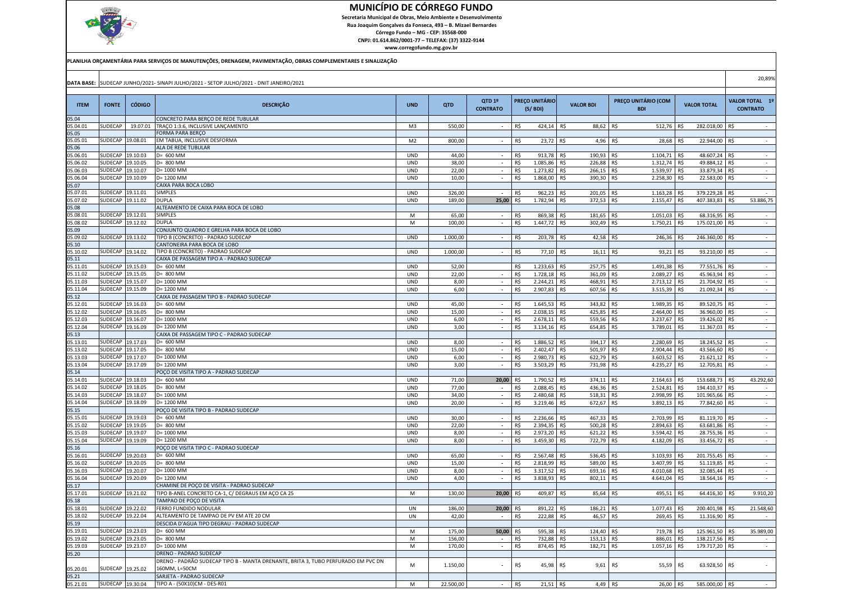

 Secretaria Municipal de Obras, Meio Ambiente e DesenvolvimentoRua Joaquim Gonçalves da Fonseca, 493 – B. Mizael Bernardes

Córrego Fundo – MG - CEP: 35568-000

 CNPJ: 01.614.862/0001-77 – TELEFAX: (37) 3322-9144www.corregofundo.mg.gov.br

| PLANILHA ORÇAMENTÁRIA PARA SERVIÇOS DE MANUTENÇÕES, DRENAGEM, PAVIMENTAÇÃO, OBRAS COMPLEMENTARES E SINALIZAÇÃO |
|----------------------------------------------------------------------------------------------------------------|
|----------------------------------------------------------------------------------------------------------------|

| <b>DATA BASE:</b>    |                    |                     | SUDECAP JUNHO/2021- SINAPI JULHO/2021 - SETOP JULHO/2021 - DNIT JANEIRO/2021      |                          |              |                                                      |            |                      |                             |                             |                   |                    |                | 20,89%          |
|----------------------|--------------------|---------------------|-----------------------------------------------------------------------------------|--------------------------|--------------|------------------------------------------------------|------------|----------------------|-----------------------------|-----------------------------|-------------------|--------------------|----------------|-----------------|
|                      |                    |                     |                                                                                   |                          |              |                                                      |            |                      |                             |                             |                   |                    |                |                 |
|                      |                    |                     |                                                                                   |                          |              | QTD 1º                                               |            | PREÇO UNITÁRIO       |                             | PREÇO UNITÁRIO (COM         |                   |                    |                | VALOR TOTAL 1º  |
| <b>ITEM</b>          | <b>FONTE</b>       | <b>CÓDIGO</b>       | <b>DESCRIÇÃO</b>                                                                  | <b>UND</b>               | QTD          | <b>CONTRATO</b>                                      |            | (S/BDI)              | <b>VALOR BDI</b>            | <b>BDI</b>                  |                   | <b>VALOR TOTAL</b> |                | <b>CONTRATO</b> |
| 05.04                |                    |                     | CONCRETO PARA BERÇO DE REDE TUBULAR                                               |                          |              |                                                      |            |                      |                             |                             |                   |                    |                |                 |
| 05.04.01             | SUDECAP            | 19.07.01            | TRAÇO 1:3:6, INCLUSIVE LANÇAMENTO                                                 | M3                       | 550,00       | $\overline{\phantom{a}}$                             | R\$        | 424,14 R\$           | 88,62 R\$                   | 512,76                      | R\$               | 282.018,00 R\$     |                |                 |
| 05.05                |                    |                     | FORMA PARA BERÇO                                                                  |                          |              |                                                      |            |                      |                             |                             |                   |                    |                |                 |
| 05.05.01             | SUDECAP            | 19.08.01            | EM TABUA, INCLUSIVE DESFORMA                                                      | M <sub>2</sub>           | 800,00       |                                                      | R\$        | 23,72                | R\$<br>4,96                 | 28,68<br>R\$                | R\$               | 22.944,00          | R\$            |                 |
| 05.06                |                    |                     | ALA DE REDE TUBULAR                                                               |                          |              |                                                      |            |                      |                             |                             |                   |                    |                |                 |
| 05.06.01             | SUDECAF            | 19.10.03            | $D=600$ MM                                                                        | <b>UND</b>               | 44,00        | $\overline{\phantom{a}}$                             | R\$        | 913,78               | R\$<br>190,93               | 1.104,71<br>R\$             | R\$               | 48.607,24 R\$      |                |                 |
| 5.06.02              | SUDECAP            | 19.10.05            | D= 800 MM                                                                         | <b>UND</b>               | 38,00        | $\blacksquare$                                       | R\$        | 1.085,86             | R\$<br>226,88               | R\$<br>1.312,74             | R\$               | 49.884,12 R\$      |                |                 |
| 05.06.03             | SUDECAP            | 19.10.07            | D= 1000 MM                                                                        | <b>UND</b>               | 22,00        | $\overline{\phantom{a}}$                             | R\$        | 1.273,82             | R\$<br>266,15               | R\$<br>1.539,97             | R\$               | 33.879,34 R\$      |                |                 |
| 05.06.04             | SUDECAP            | 19.10.09            | D= 1200 MM                                                                        | <b>UND</b>               | 10,00        | $\blacksquare$                                       | R\$        | 1.868,00             | 390,30<br>R\$               | 2.258,30 R\$<br>R\$         |                   | 22.583,00 R\$      |                | $\sim$          |
| 05.07                |                    |                     | CAIXA PARA BOCA LOBO                                                              |                          |              |                                                      |            |                      |                             |                             |                   |                    |                |                 |
| 05.07.01             | SUDECAP            | 19.11.01            | <b>SIMPLES</b>                                                                    | <b>UND</b>               | 326,00       |                                                      | R\$        | 962,23               | 201.05<br>R\$               | 1.163,28<br>R\$             | R\$               | 379.229,28 R\$     |                |                 |
| 05.07.02             | SUDECAP            | 9.11.02             | <b>DUPLA</b><br>ALTEAMENTO DE CAIXA PARA BOCA DE LOBO                             | <b>UND</b>               | 189,00       | 25,00                                                | R\$        | 1.782,94             | R\$<br>372,53               | R\$<br>2.155,47             | R\$               | 407.383,83 R\$     |                | 53.886,75       |
| 05.08<br>05.08.01    | SUDECAP            | 19.12.01            | SIMPLES                                                                           | M                        | 65,00        |                                                      | R\$        | 869,38               | R\$<br>181,65               | R\$<br>1.051,03             |                   | 68.316,95 R\$      |                |                 |
| 05.08.02             | SUDECAP            | 19.12.02            | <b>DUPLA</b>                                                                      | M                        | 100,00       |                                                      | R\$        | 1.447,72             | R\$<br>302,49               | R\$<br>1.750,21             | R\$<br>R\$        | 175.021,00 R\$     |                |                 |
| 05.09                |                    |                     | CONJUNTO QUADRO E GRELHA PARA BOCA DE LOBO                                        |                          |              |                                                      |            |                      |                             |                             |                   |                    |                |                 |
| 05.09.02             | SUDECAP            | 19.13.02            | TIPO B (CONCRETO) - PADRAO SUDECAP                                                | <b>UND</b>               | 1.000,00     | $\overline{\phantom{a}}$                             | R\$        | 203,78               | 42,58<br>R\$                | R\$<br>246,36               | -R\$              | 246.360,00 R\$     |                | $\sim$          |
| 05.10                |                    |                     | CANTONEIRA PARA BOCA DE LOBO                                                      |                          |              |                                                      |            |                      |                             |                             |                   |                    |                |                 |
| 05.10.02             | SUDECAP            | 19.14.02            | TIPO B (CONCRETO) - PADRAO SUDECAP                                                | <b>UND</b>               | 1.000,00     |                                                      | R\$        | 77,10                | R\$<br>16,11 R\$            | 93,21                       | R\$               | 93.210,00 R\$      |                |                 |
| 05.11                |                    |                     | CAIXA DE PASSAGEM TIPO A - PADRAO SUDECAP                                         |                          |              |                                                      |            |                      |                             |                             |                   |                    |                |                 |
| 05.11.01             | SUDECAP            | 19.15.03            | D= 600 MM                                                                         | <b>UND</b>               | 52,00        |                                                      | R\$        | 1.233.63             | R\$<br>257.75               | 1.491,38<br>R\$             | R\$               | 77.551,76          | R\$            |                 |
| 05.11.02             | SUDECAR            | 19.15.05            | D= 800 MM                                                                         | <b>UND</b>               | 22,00        |                                                      | R\$        | 1.728,18             | R\$<br>361,09               | R\$<br>2.089,27             | R\$               | 45.963,94 R\$      |                |                 |
| 05.11.03             | SUDECAF            | 19.15.07            | D= 1000 MM                                                                        | <b>UND</b>               | 8,00         |                                                      | R\$        | 2.244,21             | R\$<br>468.91               | R\$<br>2.713,12             | R\$               | 21.704,92 R\$      |                |                 |
| 05.11.04             | SUDECAP            | 9.15.09             | $D = 1200$ MM                                                                     | <b>UND</b>               | 6,00         | $\overline{\phantom{a}}$                             | R\$        | 2.907,83             | R\$<br>607,56               | R\$<br>3.515,39             | R\$               | 21.092,34 R\$      |                | $\sim$          |
| 05.12                |                    |                     | CAIXA DE PASSAGEM TIPO B - PADRAO SUDECAP                                         |                          |              |                                                      |            |                      |                             |                             |                   |                    |                |                 |
| 05.12.01             | SUDECAF            | 19.16.03            | D= 600 MM                                                                         | <b>UND</b>               | 45,00        | $\overline{\phantom{a}}$                             | R\$        | 1.645,53             | R\$<br>343,82               | 1.989,35<br>R\$             | R\$               | 89.520,75 R\$      |                | $\sim$          |
| 05.12.02             | SUDECAF            | 9.16.05             | D= 800 MM                                                                         | <b>UND</b>               | 15,00        | $\overline{\phantom{a}}$                             | R\$        | 2.038,15             | R\$<br>425.85               | R\$<br>2.464,00             | R\$               | 36.960,00          | R\$            | $\sim$          |
| 05.12.03             | SUDECAP            | 19.16.07            | D= 1000 MM                                                                        | <b>UND</b>               | 6,00         | $\overline{a}$                                       | R\$        | 2.678,11             | R\$<br>559,56               | R\$<br>3.237,67             | R\$               | 19.426,02 R\$      |                | ÷               |
| 05.12.04<br>05.13    | SUDECAP            | 19.16.09            | D= 1200 MM<br>CAIXA DE PASSAGEM TIPO C - PADRAO SUDECAP                           | <b>UND</b>               | 3,00         |                                                      | R\$        | 3.134,16             | R\$<br>654,85               | R\$<br>3.789,01             | R\$               | 11.367,03 R\$      |                |                 |
| 05.13.01             | SUDECAP            | 19.17.03            | D= 600 MM                                                                         | <b>UND</b>               | 8,00         | $\overline{\phantom{a}}$                             | R\$        | 1.886,52             | R\$<br>394,17 R\$           | 2.280,69                    | R\$               | 18.245,52 R\$      |                | $\sim$          |
| 05.13.02             | SUDECAF            | 19.17.05            | D= 800 MM                                                                         | <b>UND</b>               | 15,00        | $\overline{\phantom{a}}$                             | R\$        | 2.402,47             | R\$<br>501,97               | R\$<br>2.904,44             | R\$               | 43.566,60 R\$      |                | $\sim$          |
| 05.13.03             | SUDECAR            | 9.17.07             | D= 1000 MM                                                                        | <b>UND</b>               | 6,00         | $\overline{\phantom{a}}$                             | R\$        | 2.980,73             | R\$<br>622,79               | R\$<br>3.603,52             | R\$               | 21.621,12 R\$      |                |                 |
| 05.13.04             | SUDECAP            | 19.17.09            | D= 1200 MM                                                                        | <b>UND</b>               | 3,00         |                                                      | R\$        | 3.503,29             | R\$<br>731,98               | 4.235,27<br>R\$             | R\$               | 12.705,81 R\$      |                |                 |
| 05.14                |                    |                     | POÇO DE VISITA TIPO A - PADRAO SUDECAP                                            |                          |              |                                                      |            |                      |                             |                             |                   |                    |                |                 |
| 05.14.01             | SUDECAP            | 19.18.03            | D= 600 MM                                                                         | <b>UND</b>               | 71,00        | 20,00                                                | R\$        | 1.790,52             | R\$<br>374.11               | R\$<br>2.164,63             | R\$               | 153.688,73 R\$     |                | 43.292,60       |
| 05.14.02             | SUDECAP            | 19.18.05            | $D=800$ MM                                                                        | <b>UND</b>               | 77,00        | $\overline{\phantom{a}}$                             | R\$        | 2.088,45             | 436,36<br>R\$               | R\$<br>2.524,81             | R\$               | 194.410,37 R\$     |                | $\sim$          |
| 05.14.03             | SUDECAF            | 19.18.07            | D= 1000 MM                                                                        | <b>UND</b>               | 34,00        | $\overline{\phantom{a}}$                             | R\$        | 2.480,68             | R\$<br>518,31               | R\$<br>2.998,99             | R\$               | 101.965,66 R\$     |                | $\sim$          |
| 05.14.04             | SUDECAP            | 9.18.09             | D= 1200 MM                                                                        | <b>UND</b>               | 20,00        | $\overline{a}$                                       | R\$        | 3.219,46             | R\$<br>672,67               | R\$<br>3.892,13             | R\$               | 77.842,60 R\$      |                | $\sim$          |
| 05.15                |                    |                     | POÇO DE VISITA TIPO B - PADRAO SUDECAP                                            |                          |              |                                                      |            |                      |                             |                             |                   |                    |                |                 |
| 05.15.01             | SUDECAP            | 19.19.03            | D= 600 MM                                                                         | <b>UND</b>               | 30,00        | $\overline{\phantom{a}}$                             | R\$        | 2.236,66             | 467,33<br>-R\$              | 2.703,99<br>R\$             | R\$               | 81.119,70 R\$      |                |                 |
| 05.15.02             | SUDECAP            | 9.19.05             | D= 800 MM                                                                         | <b>UND</b>               | 22.00        | $\blacksquare$                                       | R\$        | 2.394,35             | R\$<br>500,28               | R\$<br>2.894,63             | R\$               | 63.681,86 R\$      |                |                 |
| 05.15.03             | SUDECAP            | 19.19.07            | D= 1000 MM                                                                        | <b>UND</b>               | 8,00         | $\sim$                                               | R\$        | 2.973,20             | 621,22 R\$<br>R\$           | 3.594,42                    | R\$               | 28.755,36 R\$      |                | $\sim$          |
| 05.15.04             | SUDECAF            | 19.19.09            | D= 1200 MM                                                                        | <b>UND</b>               | 8,00         | $\overline{\phantom{a}}$                             | R\$        | 3.459,30             | R\$<br>722,79 R\$           | 4.182,09                    | R\$               | 33.456,72 R\$      |                | $\sim$          |
| 05.16                |                    |                     | POCO DE VISITA TIPO C - PADRAO SUDECAP                                            |                          |              |                                                      |            |                      |                             |                             |                   |                    |                |                 |
| 05.16.01             | SUDECAP            | 19.20.03            | D= 600 MM                                                                         | <b>UND</b>               | 65,00        |                                                      | R\$        | 2.567,48             | R\$<br>536,45               | 3.103,93<br>R\$             | R\$               | 201.755,45 R\$     |                |                 |
| 05.16.02             | SUDECAP            | 19.20.05            | D= 800 MM                                                                         | <b>UND</b>               | 15,00        |                                                      | R\$        | 2.818,99             | R\$<br>589.00               | R\$<br>3.407.99             | R\$               | 51.119,85 R\$      |                |                 |
| 05.16.03<br>05.16.04 | SUDECAP<br>SUDECAP | 9.20.07<br>19.20.09 | D= 1000 MM<br>D= 1200 MM                                                          | <b>UND</b><br><b>UND</b> | 8,00<br>4,00 | $\overline{\phantom{a}}$<br>$\overline{\phantom{a}}$ | R\$<br>R\$ | 3.317,52<br>3.838,93 | R\$<br>693.16<br>802,11 R\$ | R\$<br>4.010,68<br>4.641,04 | R\$<br>R\$        | 32.085,44 R\$      |                | $\sim$          |
| 05.17                |                    |                     | CHAMINE DE POÇO DE VISITA - PADRAO SUDECAP                                        |                          |              |                                                      |            |                      | R\$                         |                             |                   | 18.564,16 R\$      |                |                 |
| 05.17.01             | SUDECAP            | 19.21.02            | TIPO B-ANEL CONCRETO CA-1, C/ DEGRAUS EM AÇO CA 25                                | M                        | 130,00       | 20,00                                                | R\$        | 409,87               | R\$<br>85,64                | 495,51<br>R\$               | R <sup>&lt;</sup> | 64.416,30 R\$      |                | 9.910,20        |
| 05.18                |                    |                     | TAMPAO DE POÇO DE VISITA                                                          |                          |              |                                                      |            |                      |                             |                             |                   |                    |                |                 |
| 05.18.01             | SUDECAP            | 19.22.02            | FERRO FUNDIDO NODULAR                                                             | UN                       | 186,00       | 20,00                                                | R\$        | 891,22               | R\$<br>186,21               | 1.077,43<br>R\$             | R\$               | 200.401,98 R\$     |                | 21.548,60       |
| 05.18.02             | SUDECAP            | 9.22.04             | ALTEAMENTO DE TAMPAO DE PV EM ATE 20 CM                                           | UN                       | 42,00        |                                                      | R\$        | 222,88               | R\$<br>46,57                | R\$<br>269,45               | R\$               | 11.316,90 R\$      |                |                 |
| 05.19                |                    |                     | DESCIDA D'AGUA TIPO DEGRAU - PADRAO SUDECAP                                       |                          |              |                                                      |            |                      |                             |                             |                   |                    |                |                 |
| 05.19.01             | SUDECAF            | 19.23.03            | D= 600 MM                                                                         | M                        | 175,00       | 50,00                                                | R\$        | 595,38               | 124,40<br>R\$               | 719,78<br>R\$               | R\$               | 125.961,50 R\$     |                | 35.989,00       |
| 05.19.02             | SUDECAF            | 19.23.05            | D= 800 MM                                                                         | M                        | 156.00       |                                                      | R\$        | 732,88               | R\$<br>153.13               | R\$<br>886,01               | R\$               | 138.217,56 R\$     |                |                 |
| 05.19.03             | SUDECAF            | 19.23.07            | D= 1000 MM                                                                        | M                        | 170,00       | $\overline{\phantom{a}}$                             | R\$        | 874,45               | R\$<br>182,71               | R\$<br>1.057,16             | R\$               | 179.717,20 R\$     |                |                 |
| 05.20                |                    |                     | DRENO - PADRAO SUDECAP                                                            |                          |              |                                                      |            |                      |                             |                             |                   |                    |                |                 |
|                      |                    |                     | DRENO - PADRÃO SUDECAP TIPO B - MANTA DRENANTE, BRITA 3, TUBO PERFURADO EM PVC DN | M                        | 1.150,00     |                                                      | R\$        | 45,98                | R\$<br>9,61                 | R\$<br>55,59                | R\$               | 63.928,50          | R\$            |                 |
| 05.20.01             | SUDECAP            | 19.25.02            | 160MM, L=50CM                                                                     |                          |              |                                                      |            |                      |                             |                             |                   |                    |                |                 |
| 05.21                |                    |                     | SARJETA - PADRAO SUDECAP                                                          |                          |              |                                                      |            |                      |                             |                             |                   |                    |                |                 |
| 05.21.01             | SUDECAP            | 19.30.04            | TIPO A - (50X10)CM - DES-R01                                                      | M                        | 22.500,00    | $\overline{a}$                                       | R\$        | 21.51                | R\$<br>4,49                 | R\$<br>26,00                | R\$               | 585.000,00         | R <sup>¢</sup> |                 |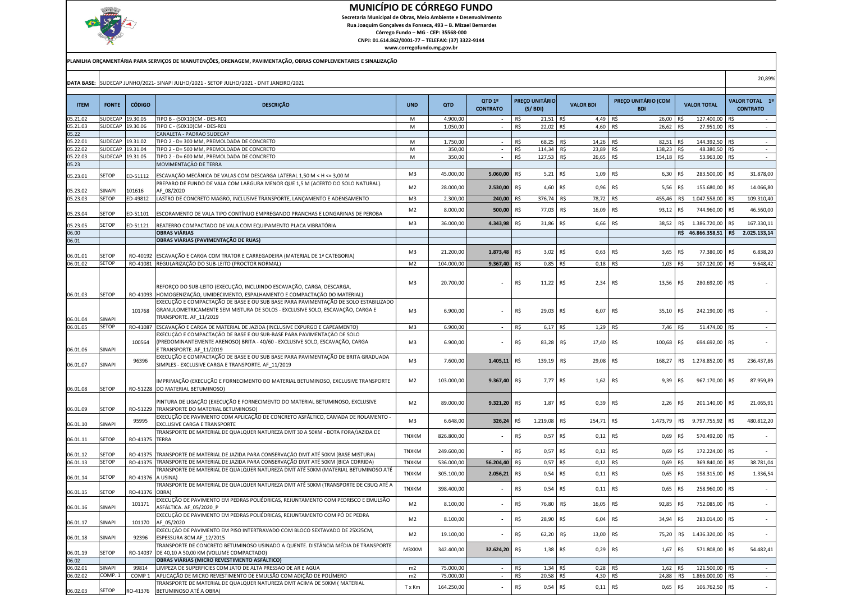

 Secretaria Municipal de Obras, Meio Ambiente e DesenvolvimentoRua Joaquim Gonçalves da Fonseca, 493 – B. Mizael Bernardes

Córrego Fundo – MG - CEP: 35568-000 CNPJ: 01.614.862/0001-77 – TELEFAX: (37) 3322-9144

|                |                  |                   | DATA BASE: SUDECAP JUNHO/2021- SINAPI JULHO/2021 - SETOP JULHO/2021 - DNIT JANEIRO/2021                                                                                                        |                |            |                           |     |                                  |                  |                                   |      |                       |     | 20,89%                                   |
|----------------|------------------|-------------------|------------------------------------------------------------------------------------------------------------------------------------------------------------------------------------------------|----------------|------------|---------------------------|-----|----------------------------------|------------------|-----------------------------------|------|-----------------------|-----|------------------------------------------|
|                |                  |                   |                                                                                                                                                                                                |                |            |                           |     |                                  |                  |                                   |      |                       |     |                                          |
| <b>ITEM</b>    | <b>FONTE</b>     | <b>CÓDIGO</b>     | <b>DESCRIÇÃO</b>                                                                                                                                                                               | <b>UND</b>     | QTD        | QTD 1º<br><b>CONTRATO</b> |     | <b>PRECO UNITÁRIO</b><br>(S/BDI) | <b>VALOR BDI</b> | PREÇO UNITÁRIO (COM<br><b>BDI</b> |      | <b>VALOR TOTAL</b>    |     | <b>VALOR TOTAL 19</b><br><b>CONTRATO</b> |
| 05.21.02       | SUDECAP          | 19.30.05          | TIPO B - (50X10)CM - DES-R01                                                                                                                                                                   | M              | 4.900,00   | $\sim$                    | R\$ | 21,51 R\$                        | 4,49             | R\$<br>26,00                      | R\$  | 127.400,00 R\$        |     |                                          |
| 05.21.03       | SUDECAP          | 19.30.06          | TIPO C - (50X10)CM - DES-R01                                                                                                                                                                   | M              | 1.050,00   | $\overline{\phantom{a}}$  | R\$ | 22,02                            | R\$<br>4,60      | R\$<br>26,62                      | R\$  | 27.951,00 R\$         |     | $\sim$                                   |
| 05.22          |                  |                   | CANALETA - PADRAO SUDECAP                                                                                                                                                                      |                |            |                           |     |                                  |                  |                                   |      |                       |     |                                          |
| 05.22.01       | <b>SUDECAP</b>   | 19.31.02          | TIPO 2 - D= 300 MM, PREMOLDADA DE CONCRETO                                                                                                                                                     | M              | 1.750,00   | $\overline{\phantom{a}}$  | R\$ | 68,25                            | 14,26<br>R\$     | 82,51<br>R\$                      | IR\$ | 144.392,50 R\$        |     | $\sim$                                   |
| 5.22.02        | SUDECAP          | 19.31.04          | TIPO 2 - D= 500 MM, PREMOLDADA DE CONCRETO                                                                                                                                                     | M              | 350,00     | $\sim$                    | R\$ | 114,34                           | R\$<br>23,89     | R\$<br>138,23                     | R\$  | 48.380,50 R\$         |     |                                          |
| 05.22.03       | SUDECAP          | 19.31.05          | TIPO 2 - D= 600 MM, PREMOLDADA DE CONCRETO                                                                                                                                                     | M              | 350,00     | $\overline{\phantom{a}}$  | R\$ | 127,53                           | R\$<br>26,65     | R\$<br>154,18                     | R\$  | 53.963,00 R\$         |     | $\sim$                                   |
| 05.23          |                  |                   | MOVIMENTAÇÃO DE TERRA                                                                                                                                                                          |                |            |                           |     |                                  |                  |                                   |      |                       |     |                                          |
| 05.23.01       | <b>SETOP</b>     | ED-51112          | ESCAVAÇÃO MECÂNICA DE VALAS COM DESCARGA LATERAL 1,50 M < H <= 3,00 M                                                                                                                          | M <sub>3</sub> | 45.000,00  | 5.060,00                  | R\$ | 5,21                             | R\$<br>1,09      | R\$<br>6,30                       | R\$  | 283.500,00 R\$        |     | 31.878,00                                |
|                |                  |                   | PREPARO DE FUNDO DE VALA COM LARGURA MENOR QUE 1.5 M (ACERTO DO SOLO NATURAL).                                                                                                                 |                |            | 2.530,00 R\$              |     |                                  | R\$              | R\$                               |      |                       | R\$ |                                          |
| 05.23.02       | SINAPI           | 101616            | AF 08/2020                                                                                                                                                                                     | M <sub>2</sub> | 28.000,00  |                           |     | 4,60                             | 0,96             | 5,56                              | R\$  | 155.680,00            |     | 14.066,80                                |
| 05.23.03       | <b>SETOP</b>     | ED-49812          | LASTRO DE CONCRETO MAGRO, INCLUSIVE TRANSPORTE, LANÇAMENTO E ADENSAMENTO                                                                                                                       | M <sub>3</sub> | 2.300,00   | 240,00                    | R\$ | 376,74                           | 78,72<br>R\$     | R\$<br>455,46                     | R\$  | 1.047.558,00          | R\$ | 109.310,40                               |
| 05.23.04       | <b>SETOP</b>     | ED-51101          | ESCORAMENTO DE VALA TIPO CONTÍNUO EMPREGANDO PRANCHAS E LONGARINAS DE PEROBA                                                                                                                   | M <sub>2</sub> | 8.000,00   | 500,00                    | R\$ | 77,03                            | R\$<br>16,09     | R\$<br>93,12                      | R\$  | 744.960,00            | R\$ | 46.560,00                                |
|                |                  |                   |                                                                                                                                                                                                | M <sub>3</sub> | 36.000,00  | 4.343,98 R\$              |     | 31,86                            | R\$<br>6,66      | R\$<br>38,52                      |      | R\$ 1.386.720,00      | R\$ | 167.330,11                               |
| 05.23.05       | <b>SETOP</b>     | ED-51121          | REATERRO COMPACTADO DE VALA COM EQUIPAMENTO PLACA VIBRATÓRIA                                                                                                                                   |                |            |                           |     |                                  |                  |                                   |      |                       |     |                                          |
| 06.00<br>06.01 |                  |                   | <b>OBRAS VIÁRIAS</b><br>OBRAS VIÁRIAS (PAVIMENTAÇÃO DE RUAS)                                                                                                                                   |                |            |                           |     |                                  |                  |                                   |      | R\$ 46.866.358,51 R\$ |     | 2.025.133,14                             |
|                |                  |                   |                                                                                                                                                                                                |                |            |                           |     |                                  |                  |                                   |      |                       |     |                                          |
| 06.01.01       | <b>SETOP</b>     |                   | RO-40192 ESCAVAÇÃO E CARGA COM TRATOR E CARREGADEIRA (MATERIAL DE 1ª CATEGORIA)                                                                                                                | M <sub>3</sub> | 21.200,00  | 1.873,48                  | R\$ | 3,02                             | R\$<br>0,63      | R\$<br>3,65                       | R\$  | 77.380,00             | R\$ | 6.838,20                                 |
| 06.01.02       | SETOP            |                   | RO-41081 REGULARIZAÇÃO DO SUB-LEITO (PROCTOR NORMAL)                                                                                                                                           | M <sub>2</sub> | 104.000,00 | 9.367,40 R\$              |     | $0,85$ R\$                       | $0,18$ R\$       | $1,03$ R\$                        |      | 107.120,00            | R\$ | 9.648,42                                 |
|                |                  |                   |                                                                                                                                                                                                |                |            |                           |     |                                  |                  |                                   |      |                       |     |                                          |
| 06.01.03       | <b>SETOP</b>     | RO-41093          | REFORÇO DO SUB-LEITO (EXECUÇÃO, INCLUINDO ESCAVAÇÃO, CARGA, DESCARGA,<br>HOMOGENIZAÇÃO, UMIDECIMENTO, ESPALHAMENTO E COMPACTAÇÃO DO MATERIAL)                                                  | M3             | 20.700,00  |                           | R\$ | 11.22 RS                         | 2,34             | R\$<br>13,56                      | R\$  | 280.692,00 R\$        |     |                                          |
| 06.01.04       | SINAPI           | 101768            | EXECUÇÃO E COMPACTAÇÃO DE BASE E OU SUB BASE PARA PAVIMENTAÇÃO DE SOLO ESTABILIZADO<br>GRANULOMETRICAMENTE SEM MISTURA DE SOLOS - EXCLUSIVE SOLO, ESCAVAÇÃO, CARGA E<br>TRANSPORTE. AF_11/2019 | M <sub>3</sub> | 6.900,00   |                           | R\$ | 29,03                            | R\$<br>6,07      | R\$<br>35,10                      | R\$  | 242.190,00 R\$        |     |                                          |
| 06.01.05       | SETOP            |                   | RO-41087 ESCAVAÇÃO E CARGA DE MATERIAL DE JAZIDA (INCLUSIVE EXPURGO E CAPEAMENTO)                                                                                                              | M3             | 6.900,00   | $\sim$                    | R\$ | $6,17$ R\$                       | $1,29$ R\$       | 7,46                              | R\$  | 51.474,00 R\$         |     | $\sim$                                   |
|                |                  | 100564            | EXECUÇÃO E COMPACTAÇÃO DE BASE E OU SUB-BASE PARA PAVIMENTAÇÃO DE SOLO<br>(PREDOMINANTEMENTE ARENOSO) BRITA - 40/60 - EXCLUSIVE SOLO, ESCAVAÇÃO, CARGA                                         | M <sub>3</sub> | 6.900,00   |                           | R\$ | 83,28                            | R\$<br>17,40     | R\$<br>100,68                     | R\$  | 694.692,00 R\$        |     |                                          |
| 06.01.06       | SINAPI<br>SINAPI | 96396             | E TRANSPORTE. AF 11/2019<br>EXECUÇÃO E COMPACTAÇÃO DE BASE E OU SUB BASE PARA PAVIMENTAÇÃO DE BRITA GRADUADA                                                                                   | M <sub>3</sub> | 7.600,00   | 1.405, 11                 | R\$ | 139,19                           | R\$<br>29,08     | R\$<br>168,27                     |      | R\$ 1.278.852,00 R\$  |     | 236.437,86                               |
| 06.01.07       |                  |                   | SIMPLES - EXCLUSIVE CARGA E TRANSPORTE. AF 11/2019                                                                                                                                             |                |            |                           |     |                                  |                  |                                   |      |                       |     |                                          |
| 06.01.08       | <b>SETOP</b>     |                   | IMPRIMAÇÃO (EXECUÇÃO E FORNECIMENTO DO MATERIAL BETUMINOSO, EXCLUSIVE TRANSPORTE<br>RO-51228 DO MATERIAL BETUMINOSO)                                                                           | M <sub>2</sub> | 103.000,00 | 9.367,40                  | R\$ | 7,77                             | R\$<br>1,62      | R\$<br>9,39                       | R\$  | 967.170,00 R\$        |     | 87.959,89                                |
| 06.01.09       | <b>SETOP</b>     |                   | PINTURA DE LIGAÇÃO (EXECUÇÃO E FORNECIMENTO DO MATERIAL BETUMINOSO, EXCLUSIVE<br>RO-51229 TRANSPORTE DO MATERIAL BETUMINOSO)                                                                   | M <sub>2</sub> | 89.000,00  | 9.321,20                  | R\$ | 1,87                             | R\$<br>0,39      | R\$<br>2,26                       | R\$  | 201.140,00            | R\$ | 21.065,91                                |
|                |                  | 95995             | EXECUÇÃO DE PAVIMENTO COM APLICAÇÃO DE CONCRETO ASFÁLTICO, CAMADA DE ROLAMENTO -                                                                                                               | M <sub>3</sub> | 6.648,00   | 326,24                    | R\$ | 1.219,08                         | R\$<br>254,71    | R\$<br>1.473,79                   | R\$  | 9.797.755,92          | R\$ | 480.812,20                               |
| 06.01.10       | SINAPI           |                   | EXCLUSIVE CARGA E TRANSPORTE<br>TRANSPORTE DE MATERIAL DE QUALQUER NATUREZA DMT 30 A 50KM - BOTA FORA/JAZIDA DE                                                                                |                |            |                           |     |                                  |                  |                                   |      |                       |     |                                          |
| 06.01.11       | <b>SETOP</b>     | RO-41375          | <b>TERRA</b>                                                                                                                                                                                   | <b>TNXKM</b>   | 826.800,00 |                           | R\$ | 0,57                             | R\$<br>0,12      | R\$<br>0,69                       | R\$  | 570.492,00 R\$        |     |                                          |
|                |                  |                   |                                                                                                                                                                                                | <b>TNXKM</b>   | 249.600,00 |                           | R\$ | 0,57                             | R\$<br>0,12      | R\$<br>0,69                       | R\$  | 172.224,00 R\$        |     |                                          |
| 06.01.12       | <b>SETOP</b>     | RO-41375          | TRANSPORTE DE MATERIAL DE JAZIDA PARA CONSERVAÇÃO DMT ATÉ 50KM (BASE MISTURA)<br>TRANSPORTE DE MATERIAL DE JAZIDA PARA CONSERVAÇÃO DMT ATÉ 50KM (BICA CORRIDA)                                 |                |            |                           |     |                                  |                  |                                   |      |                       |     |                                          |
| 06.01.13       | <b>SETOP</b>     | RO-41375          | TRANSPORTE DE MATERIAL DE QUALQUER NATUREZA DMT ATÉ 50KM (MATERIAL BETUMINOSO ATÉ                                                                                                              | <b>TNXKM</b>   | 536.000,00 | 56.204,40                 | R\$ | 0,57                             | R\$<br>0,12      | R\$<br>0,69                       | R\$  | 369.840,00            | R\$ | 38.781,04                                |
| 06.01.14       | <b>SETOP</b>     | RO-41376          | A USINA)                                                                                                                                                                                       | <b>TNXKM</b>   | 305.100,00 | 2.056,21                  | R\$ | 0,54                             | R\$<br>0,11      | R\$<br>0,65                       | R\$  | 198.315,00            | R\$ | 1.336,54                                 |
| 06.01.15       | SETOP            | RO-41376          | TRANSPORTE DE MATERIAL DE QUALQUER NATUREZA DMT ATÉ 50KM (TRANSPORTE DE CBUQ ATÉ $\ell$<br>OBRA)                                                                                               | <b>TNXKM</b>   | 398.400,00 |                           | R\$ | 0,54                             | R\$<br>0,11      | R\$<br>0,65                       | R\$  | 258.960,00 R\$        |     |                                          |
|                |                  |                   | EXECUÇÃO DE PAVIMENTO EM PEDRAS POLIÉDRICAS, REJUNTAMENTO COM PEDRISCO E EMULSÃO                                                                                                               |                |            |                           |     |                                  |                  |                                   |      |                       |     |                                          |
| 06.01.16       | <b>SINAPI</b>    | 101171            | ASFÁLTICA. AF 05/2020 P                                                                                                                                                                        | M <sub>2</sub> | 8.100,00   |                           | R\$ | 76,80                            | R\$<br>16,05     | R\$<br>92,85                      | R\$  | 752.085,00 R\$        |     |                                          |
| 06.01.17       | SINAPI           | 101170            | EXECUÇÃO DE PAVIMENTO EM PEDRAS POLIÉDRICAS, REJUNTAMENTO COM PÓ DE PEDRA<br>AF 05/2020                                                                                                        | M <sub>2</sub> | 8.100,00   |                           | R\$ | 28,90 R\$                        | $6,04$ R\$       | 34,94                             |      | R\$ 283.014,00 R\$    |     |                                          |
|                | SINAPI           | 92396             | EXECUÇÃO DE PAVIMENTO EM PISO INTERTRAVADO COM BLOCO SEXTAVADO DE 25X25CM,<br>ESPESSURA 8CM AF 12/2015                                                                                         | M <sub>2</sub> | 19.100,00  |                           | R\$ | 62,20                            | 13,00 R\$<br>R\$ | 75,20                             |      | R\$ 1.436.320,00 R\$  |     |                                          |
| 06.01.18       |                  |                   | TRANSPORTE DE CONCRETO BETUMINOSO USINADO A QUENTE. DISTÂNCIA MÉDIA DE TRANSPORTE                                                                                                              | M3XKM          | 342.400,00 | 32.624,20 R\$             |     | 1,38 R\$                         | $0,29$ R\$       | 1,67                              |      | R\$ 571.808,00 R\$    |     | 54.482,41                                |
| 06.01.19       | <b>SETOP</b>     | RO-14037          | DE 40,10 A 50,00 KM (VOLUME COMPACTADO)                                                                                                                                                        |                |            |                           |     |                                  |                  |                                   |      |                       |     |                                          |
| 06.02          |                  |                   | OBRAS VIÁRIAS (MICRO REVESTIMENTO ASFÁLTICO)                                                                                                                                                   |                |            |                           |     |                                  |                  |                                   |      |                       |     |                                          |
| 06.02.01       | SINAPI           | 99814             | LIMPEZA DE SUPERFICIES COM JATO DE ALTA PRESSAO DE AR E AGUA                                                                                                                                   | m2             | 75.000,00  | $\sim$                    | R\$ | $1,34$ R\$                       | $0,28$ R\$       | $1,62$ R\$                        |      | 121.500,00 R\$        |     | $\sim$                                   |
| 06.02.02       | COMP.1           | COMP <sub>1</sub> | APLICAÇÃO DE MICRO REVESTIMENTO DE EMULSÃO COM ADIÇÃO DE POLÍMERO<br>TRANSPORTE DE MATERIAL DE QUALQUER NATUREZA DMT ACIMA DE 50KM (MATERIAL                                                   | m2             | 75.000,00  | $\sim$                    | R\$ | 20,58 R\$                        | 4,30 R\$         | 24,88 R\$                         |      | 1.866.000,00 R\$      |     | $\sim$                                   |
| 06.02.03       | <b>SETOP</b>     | RO-41376          | BETUMINOSO ATÉ A OBRA)                                                                                                                                                                         | T x Km         | 164.250,00 | $\overline{\phantom{a}}$  | R\$ | 0,54 R\$                         | $0,11$ R\$       | $0,65$ R\$                        |      | 106.762,50 R\$        |     |                                          |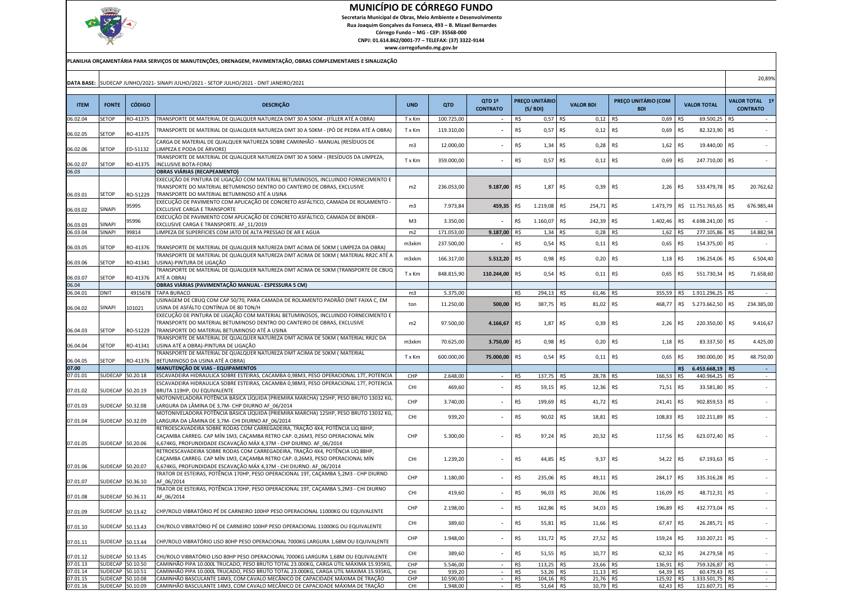

 Secretaria Municipal de Obras, Meio Ambiente e Desenvolvimento Rua Joaquim Gonçalves da Fonseca, 493 – B. Mizael BernardesCórrego Fundo – MG - CEP: 35568-000

 CNPJ: 01.614.862/0001-77 – TELEFAX: (37) 3322-9144www.corregofundo.mg.gov.br

|                      |                    |                      | PLANILHA ORÇAMENTÁRIA PARA SERVIÇOS DE MANUTENÇÕES, DRENAGEM, PAVIMENTAÇÃO, OBRAS COMPLEMENTARES E SINALIZAÇÃO                                                                                                                      |                |                     |                           |            |                           |                                      |                                   |            |                                   |                |                                   |
|----------------------|--------------------|----------------------|-------------------------------------------------------------------------------------------------------------------------------------------------------------------------------------------------------------------------------------|----------------|---------------------|---------------------------|------------|---------------------------|--------------------------------------|-----------------------------------|------------|-----------------------------------|----------------|-----------------------------------|
|                      |                    |                      | DATA BASE: SUDECAP JUNHO/2021- SINAPI JULHO/2021 - SETOP JULHO/2021 - DNIT JANEIRO/2021                                                                                                                                             |                |                     |                           |            |                           |                                      |                                   |            |                                   |                | 20,89%                            |
| <b>ITEM</b>          | <b>FONTE</b>       | <b>CÓDIGO</b>        | <b>DESCRIÇÃO</b>                                                                                                                                                                                                                    | <b>UND</b>     | QTD                 | QTD 1º<br><b>CONTRATO</b> |            | PREÇO UNITÁRIO<br>(S/BDI) | <b>VALOR BDI</b>                     | PREÇO UNITÁRIO (COM<br><b>BDI</b> |            | <b>VALOR TOTAL</b>                |                | VALOR TOTAL 1º<br><b>CONTRATO</b> |
| 06.02.04             | <b>SETOP</b>       | RO-41375             | TRANSPORTE DE MATERIAL DE QUALQUER NATUREZA DMT 30 A 50KM - (FÍLLER ATÉ A OBRA)                                                                                                                                                     | T x Km         | 100.725,00          | $\overline{\phantom{a}}$  | R\$        | $0,57$ R\$                | 0,12                                 | R\$<br>0,69                       | R\$        | 69.500,25                         | R\$            | $\sim$                            |
|                      | SETOP              | RO-41375             | TRANSPORTE DE MATERIAL DE QUALQUER NATUREZA DMT 30 A 50KM - (PÓ DE PEDRA ATÉ A OBRA)                                                                                                                                                | T x Km         | 119.310,00          |                           | R\$        | $0,57$ R\$                | 0,12                                 | R\$<br>0,69                       | R\$        | 82.323,90                         | IR\$           |                                   |
| 06.02.05<br>06.02.06 | SETOP              | ED-51132             | CARGA DE MATERIAL DE QUALQUER NATUREZA SOBRE CAMINHÃO - MANUAL (RESÍDUOS DE<br>LIMPEZA E PODA DE ÁRVORE)                                                                                                                            | m3             | 12.000,00           |                           | R\$        | $1,34$ R\$                | 0,28                                 | R\$<br>1,62                       | R\$        | 19.440,00                         | IR\$           |                                   |
| 06.02.07             | SETOP              | RO-41375             | TRANSPORTE DE MATERIAL DE QUALQUER NATUREZA DMT 30 A 50KM - (RESÍDUOS DA LIMPEZA,<br><b>INCLUSIVE BOTA-FORA)</b>                                                                                                                    | T x Km         | 359.000,00          |                           | R\$        | 0,57 R\$                  | $0,12$ R\$                           | 0,69                              | R\$        | 247.710,00 R\$                    |                |                                   |
| 06.03                |                    |                      | OBRAS VIÁRIAS (RECAPEAMENTO)                                                                                                                                                                                                        |                |                     |                           |            |                           |                                      |                                   |            |                                   |                |                                   |
| 06.03.01             | SETOP              | RO-51229             | EXECUÇÃO DE PINTURA DE LIGAÇÃO COM MATERIAL BETUMINOSOS, INCLUINDO FORNECIMENTO E<br>TRANSPORTE DO MATERIAL BETUMINOSO DENTRO DO CANTEIRO DE OBRAS, EXCLUSIVE<br>TRANSPORTE DO MATERIAL BETUMINOSO ATÉ A USINA                      | m2             | 236.053,00          | 9.187,00                  | R\$        | 1,87 R\$                  | $0,39$ R\$                           | 2,26                              | R\$        | 533.479,78                        | R\$            | 20.762,62                         |
| 06.03.02             | SINAPI             | 95995                | EXECUÇÃO DE PAVIMENTO COM APLICAÇÃO DE CONCRETO ASFÁLTICO, CAMADA DE ROLAMENTO -<br>EXCLUSIVE CARGA E TRANSPORTE                                                                                                                    | m3             | 7.973,84            | 459,35                    | R\$        | 1.219,08                  | R\$<br>254,71                        | R\$<br>1.473,79                   |            | R\$ 11.751.765,65                 | R\$            | 676.985,44                        |
| 06.03.03             | SINAPI             | 95996                | EXECUÇÃO DE PAVIMENTO COM APLICAÇÃO DE CONCRETO ASFÁLTICO, CAMADA DE BINDER -<br>EXCLUSIVE CARGA E TRANSPORTE. AF_11/2019                                                                                                           | M <sub>3</sub> | 3.350,00            |                           | R\$        | 1.160,07                  | R\$<br>242,39 R\$                    | 1.402,46                          |            | R\$ 4.698.241,00                  | R\$            |                                   |
| 06.03.04             | <b>SINAPI</b>      | 99814                | LIMPEZA DE SUPERFICIES COM JATO DE ALTA PRESSAO DE AR E AGUA                                                                                                                                                                        | m2             | 171.053,00          | 9.187,00                  | R\$        | $1,34$ R\$                | $0,28$ R\$                           | 1,62                              | R\$        | 277.105,86 R\$                    |                | 14.882,94                         |
| 06.03.05             | SETOP              | RO-41376             | TRANSPORTE DE MATERIAL DE QUALQUER NATUREZA DMT ACIMA DE 50KM (LIMPEZA DA OBRA)                                                                                                                                                     | m3xkm          | 237.500,00          |                           | R\$        | $0,54$ R\$                | 0,11                                 | R\$<br>0,65                       | R\$        | 154.375,00 R\$                    |                |                                   |
| 06.03.06             | SETOP              | RO-41341             | TRANSPORTE DE MATERIAL DE QUALQUER NATUREZA DMT ACIMA DE 50KM ( MATERIAL RR2C ATÉ A<br>USINA)-PINTURA DE LIGAÇÃO                                                                                                                    | m3xkm          | 166.317,00          | 5.512,20                  | R\$        | $0,98$ R\$                | 0,20                                 | R\$<br>1,18                       | R\$        | 196.254,06                        | R\$            | 6.504,40                          |
| 06.03.07             | <b>SETOP</b>       | RO-41376             | TRANSPORTE DE MATERIAL DE QUALQUER NATUREZA DMT ACIMA DE 50KM (TRANSPORTE DE CBUQ<br>ATÉ A OBRA)                                                                                                                                    | T x Km         | 848.815,90          | 110.244,00                | R\$        | $0,54$ R\$                | 0,11                                 | R\$<br>0,65                       | R\$        | 551.730,34                        | R\$            | 71.658,60                         |
| 06.04                |                    |                      | OBRAS VIÁRIAS (PAVIMENTAÇÃO MANUAL - ESPESSURA 5 CM)                                                                                                                                                                                |                |                     |                           |            |                           |                                      |                                   |            |                                   |                |                                   |
| 06.04.01             | <b>DNIT</b>        | 4915678              | <b>TAPA BURACO</b><br>USINAGEM DE CBUQ COM CAP 50/70, PARA CAMADA DE ROLAMENTO PADRÃO DNIT FAIXA C, EM                                                                                                                              | m3             | 5.375,00            |                           | R\$        | 294,13                    | R\$<br>61,46                         | 355,59<br>R\$                     | R\$        | 1.911.296,25                      | R\$            | $\sim$                            |
| 06.04.02             | SINAPI             | 101021               | USINA DE ASFÁLTO CONTÍNUA DE 80 TON/H<br>EXECUÇÃO DE PINTURA DE LIGAÇÃO COM MATERIAL BETUMINOSOS, INCLUINDO FORNECIMENTO E                                                                                                          | ton            | 11.250,00           | 500,00                    | R\$        | 387,75                    | R\$<br>81,02                         | R\$<br>468,77                     |            | R\$ 5.273.662,50                  | R\$            | 234.385,00                        |
| 06.04.03             | <b>SETOP</b>       | RO-51229             | TRANSPORTE DO MATERIAL BETUMINOSO DENTRO DO CANTEIRO DE OBRAS, EXCLUSIVE<br>TRANSPORTE DO MATERIAL BETUMINOSO ATÉ A USINA                                                                                                           | m2             | 97.500,00           | 4.166,67                  | R\$        | 1,87 R\$                  | $0,39$ R\$                           | 2,26                              | R\$        | 220.350,00                        | R\$            | 9.416,67                          |
| 06.04.04             | SETOP              | RO-41341             | TRANSPORTE DE MATERIAL DE QUALQUER NATUREZA DMT ACIMA DE 50KM ( MATERIAL RR2C DA<br>USINA ATÉ A OBRA)-PINTURA DE LIGAÇÃO                                                                                                            | m3xkm          | 70.625,00           | 3.750,00                  | R\$        | 0,98 R\$                  | $0,20$ R\$                           | 1,18                              | R\$        | 83.337,50                         | R\$            | 4.425,00                          |
| 06.04.05             | SETOP              | RO-41376             | TRANSPORTE DE MATERIAL DE QUALQUER NATUREZA DMT ACIMA DE 50KM (MATERIAL<br>BETUMINOSO DA USINA ATÉ A OBRA)                                                                                                                          | T x Km         | 600.000,00          | 75.000,00                 | R\$        | $0,54$ R\$                | 0,11                                 | R\$<br>0,65                       | R\$        | 390.000,00                        | R\$            | 48.750,00                         |
| 07.00                |                    |                      | MANUTENÇÃO DE VIAS - EQUIPAMENTOS                                                                                                                                                                                                   |                |                     |                           |            |                           |                                      |                                   | R\$        | 6.453.668,19                      | R <sub>5</sub> | $\sim$ $\sim$                     |
| 07.01.01             | SUDECAP            | 50.20.18             | ESCAVADEIRA HIDRAULICA SOBRE ESTEIRAS, CACAMBA 0,98M3, PESO OPERACIONAL 17T, POTENCIA<br>ESCAVADEIRA HIDRAULICA SOBRE ESTEIRAS, CACAMBA 0,98M3, PESO OPERACIONAL 17T, POTENCIA                                                      | CHP<br>CHI     | 2.648,00<br>469,60  |                           | R\$<br>R\$ | 137,75<br>59,15           | R\$<br>28,78 R\$<br>12,36 R\$<br>R\$ | 166,53<br>71,51                   | R\$<br>R\$ | 440.964,25 R\$<br>33.581,80 R\$   |                |                                   |
| 07.01.02             |                    | SUDECAP 50.20.19     | BRUTA 119HP, OU EQUIVALENTE<br>MOTONIVELADORA POTÊNCIA BÁSICA LÍQUIDA (PRIEMIRA MARCHA) 125HP, PESO BRUTO 13032 KG,                                                                                                                 |                |                     |                           |            |                           |                                      |                                   |            |                                   |                |                                   |
| 07.01.03             | SUDECAP            | 50.32.08             | LARGURA DA LÂMINA DE 3,7M- CHP DIURNO AF 06/2014<br>MOTONIVELADORA POTÊNCIA BÁSICA LÍQUIDA (PRIEMIRA MARCHA) 125HP, PESO BRUTO 13032 KG,                                                                                            | CHP            | 3.740,00            |                           | R\$        | 199,69 R\$                | 41,72 R\$                            | 241,41                            | R\$        | 902.859,53 R\$                    |                |                                   |
| 07.01.04             |                    | SUDECAP 50.32.09     | LARGURA DA LÂMINA DE 3,7M- CHI DIURNO AF 06/2014                                                                                                                                                                                    | CHI            | 939,20              |                           | R\$        | 90,02                     | R\$<br>18,81                         | R\$<br>108,83                     | R\$        | 102.211,89 R\$                    |                |                                   |
| 07.01.05             |                    | SUDECAP 50.20.06     | RETROESCAVADEIRA SOBRE RODAS COM CARREGADEIRA, TRAÇÃO 4X4, POTÊNCIA LIQ 88HP,<br>CAÇAMBA CARREG. CAP MÍN 1M3, CAÇAMBA RETRO CAP. 0,26M3, PESO OPERACIONAL MÍN<br>6,674KG, PROFUNDIDADE ESCAVAÇÃO MÁX 4,37M - CHP DIURNO. AF 06/2014 | CHP            | 5.300,00            |                           | R\$        | 97,24 R\$                 | 20,32                                | R\$<br>117,56                     | R\$        | 623.072,40 R\$                    |                |                                   |
| 07.01.06             | <b>SUDECAP</b>     | 50.20.07             | RETROESCAVADEIRA SOBRE RODAS COM CARREGADEIRA, TRAÇÃO 4X4, POTÊNCIA LIQ 88HP,<br>CAÇAMBA CARREG. CAP MÍN 1M3, CAÇAMBA RETRO CAP. 0,26M3, PESO OPERACIONAL MÍN<br>6,674KG, PROFUNDIDADE ESCAVAÇÃO MÁX 4,37M - CHI DIURNO. AF 06/2014 | CHI            | 1.239,20            |                           | R\$        | 44,85 R\$                 | 9,37 R\$                             | 54,22                             | R\$        | 67.193,63 R\$                     |                |                                   |
| 07.01.07             |                    | SUDECAP 50.36.10     | TRATOR DE ESTEIRAS, POTÊNCIA 170HP, PESO OPERACIONAL 19T, CAÇAMBA 5,2M3 - CHP DIURNO<br>AF 06/2014                                                                                                                                  | CHP            | 1.180,00            |                           | R\$        | 235,06                    | R\$<br>49,11                         | R\$<br>284,17                     | R\$        | 335.316,28 R\$                    |                |                                   |
| 07.01.08             | SUDECAP 50.36.11   |                      | TRATOR DE ESTEIRAS, POTÊNCIA 170HP, PESO OPERACIONAL 19T, CAÇAMBA 5,2M3 - CHI DIURNO<br>AF 06/2014                                                                                                                                  | CHI            | 419,60              |                           | R\$        | 96,03                     | R\$<br>20,06 R\$                     | 116,09                            | R\$        | 48.712,31 R\$                     |                |                                   |
| 07.01.09             | SUDECAP 50.13.42   |                      | CHP/ROLO VIBRATÓRIO PÉ DE CARNEIRO 100HP PESO OPERACIONAL 11000KG OU EQUIVALENTE                                                                                                                                                    | CHP            | 2.198,00            | $\overline{\phantom{a}}$  | R\$        | 162,86 R\$                | 34,03 R\$                            | 196,89                            | R\$        | 432.773,04 R\$                    |                |                                   |
| 07.01.10             | SUDECAP 50.13.43   |                      | CHI/ROLO VIBRATÓRIO PÉ DE CARNEIRO 100HP PESO OPERACIONAL 11000KG OU EQUIVALENTE                                                                                                                                                    | CHI            | 389,60              |                           | R\$        | 55,81 R\$                 | 11,66 R\$                            | 67,47                             | R\$        | 26.285,71 R\$                     |                |                                   |
| 07.01.11             |                    | SUDECAP 50.13.44     | CHP/ROLO VIBRATÓRIO LISO 80HP PESO OPERACIONAL 7000KG LARGURA 1,68M OU EQUIVALENTE                                                                                                                                                  | CHP            | 1.948,00            |                           | R\$        | 131,72                    | R\$<br>27,52                         | R\$<br>159,24                     | R\$        | 310.207,21 R\$                    |                | $\sim$                            |
| 07.01.12             |                    | SUDECAP 50.13.45     | CHI/ROLO VIBRATÓRIO LISO 80HP PESO OPERACIONAL 7000KG LARGURA 1,68M OU EQUIVALENTE                                                                                                                                                  | CHI            | 389,60              |                           | R\$        | 51,55                     | R\$<br>10,77                         | R\$<br>62,32                      | R\$        | 24.279,58                         | IR\$           |                                   |
| 07.01.13             | SUDECAP<br>SUDECAP | 50.10.50<br>50.10.51 | CAMINHÃO PIPA 10.000L TRUCADO, PESO BRUTO TOTAL 23.000KG, CARGA ÚTIL MÁXIMA 15.935KG,<br>CAMINHÃO PIPA 10.000L TRUCADO. PESO BRUTO TOTAL 23.000KG. CARGA ÚTIL MÁXIMA 15.935KG.                                                      | CHP<br>CHI     | 5.546,00            | $\overline{\phantom{a}}$  | R\$        | 113,25                    | 23,66 R\$<br>R\$                     | 136,91                            | R\$        | 759.326,87                        | IR\$           | $\sim$                            |
| 07.01.14<br>07.01.15 | <b>SUDECAP</b>     | 50.10.08             | CAMINHÃO BASCULANTE 14M3, COM CAVALO MECÂNICO DE CAPACIDADE MÁXIMA DE TRAÇÃO                                                                                                                                                        | CHP            | 939,20<br>10.590,00 | $\sim$<br>$\sim$          | R\$<br>R\$ | 53,26<br>104,16 R\$       | 11,13 R\$<br>R\$<br>21,76 R\$        | 64,39 R\$<br>125,92 R\$           |            | 60.479,43 R\$<br>1.333.501,75 R\$ |                | $\sim$<br>$\sim$                  |
| 07.01.16             | SUDECAP 50.10.09   |                      | CAMINHÃO BASCULANTE 14M3, COM CAVALO MECÂNICO DE CAPACIDADE MÁXIMA DE TRAÇÃO                                                                                                                                                        | CHI            | 1.948,00            | $-$ R\$                   |            | 51,64 R\$                 | 10,79 R\$                            | 62,43 R\$                         |            | 121.607,71 R\$                    |                | $\sim$                            |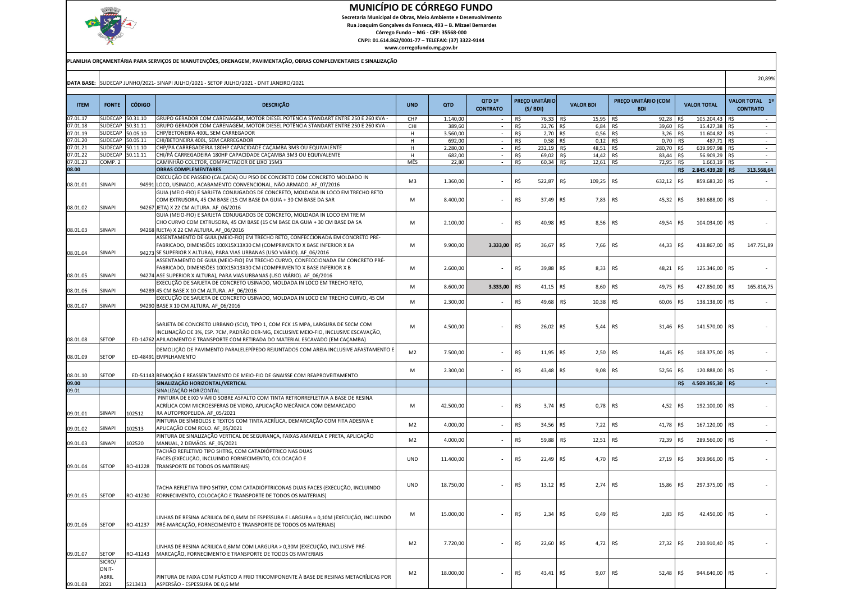

 Secretaria Municipal de Obras, Meio Ambiente e DesenvolvimentoRua Joaquim Gonçalves da Fonseca, 493 – B. Mizael Bernardes

Córrego Fundo – MG - CEP: 35568-000 CNPJ: 01.614.862/0001-77 – TELEFAX: (37) 3322-9144

|             | DATA BASE: SUDECAP JUNHO/2021- SINAPI JULHO/2021 - SETOP JULHO/2021 - DNIT JANEIRO/2021 |               |                                                                                                                                                                                                                                                         |                |           |                           |     |                                 |                    |                                   |                      |                  |     | 20,89%                            |
|-------------|-----------------------------------------------------------------------------------------|---------------|---------------------------------------------------------------------------------------------------------------------------------------------------------------------------------------------------------------------------------------------------------|----------------|-----------|---------------------------|-----|---------------------------------|--------------------|-----------------------------------|----------------------|------------------|-----|-----------------------------------|
| <b>ITEM</b> | <b>FONTE</b>                                                                            | <b>CÓDIGO</b> | <b>DESCRIÇÃO</b>                                                                                                                                                                                                                                        | <b>UND</b>     | QTD       | OTD 1º<br><b>CONTRATO</b> |     | <b>PREÇO UNITÁRIO</b><br>(S/BD) | <b>VALOR BDI</b>   | PREÇO UNITÁRIO (COM<br><b>BDI</b> | <b>VALOR TOTAL</b>   |                  |     | VALOR TOTAL 1º<br><b>CONTRATO</b> |
| 07.01.17    | SUDECAP                                                                                 | 50.31.10      | -<br>GRUPO GERADOR COM CARENAGEM, MOTOR DIESEL POTÊNCIA STANDART ENTRE 250 E 260 KVA                                                                                                                                                                    | CHP            | 1.140,00  |                           | R\$ | 76,33 R\$                       | 15,95 R\$          | 92,28                             | R\$                  | 105.204,43 R\$   |     |                                   |
| 07.01.18    | SUDECAP                                                                                 | 50.31.11      | GRUPO GERADOR COM CARENAGEM, MOTOR DIESEL POTÊNCIA STANDART ENTRE 250 E 260 KVA -                                                                                                                                                                       | CHI            | 389,60    |                           | R\$ | 32,76 R\$                       | $6,84$ R\$         | 39,60                             | R\$                  | 15.427,38 R\$    |     |                                   |
| 07.01.19    | SUDECAP                                                                                 | 50.05.10      | <b>CHP/BETONEIRA 400L, SEM CARREGADOR</b>                                                                                                                                                                                                               | H              | 3.560,00  | $\Box$                    | R\$ | $2,70$ R\$                      | 0,56               | R\$<br>3,26                       | R\$                  | 11.604,82 R\$    |     |                                   |
| 07.01.20    | SUDECAP                                                                                 | 50.05.11      | CHI/BETONEIRA 400L, SEM CARREGADOR                                                                                                                                                                                                                      | H              | 692,00    |                           | R\$ | 0,58                            | R\$<br>$0,12$ R\$  | 0,70                              | R\$                  | 487,71 R\$       |     |                                   |
| 07.01.21    | <b>UDECAP</b>                                                                           | 50.11.10      | CHP/PÁ CARREGADEIRA 180HP CAPACIDADE CACAMBA 3M3 OU EQUIVALENTE                                                                                                                                                                                         | н              | 2.280.00  |                           | R\$ | 232,19 R\$                      | 48,51 R\$          | 280.70                            | R\$                  | 639.997.98 R\$   |     |                                   |
| 07.01.22    | <b>SUDECAP</b>                                                                          | 50.11.11      | CHI/PÁ CARREGADEIRA 180HP CAPACIDADE CAÇAMBA 3M3 OU EQUIVALENTE                                                                                                                                                                                         | H              | 682,00    | $\overline{\phantom{a}}$  | R\$ | 69,02 R\$                       | 14,42 R\$          | 83,44                             | R\$                  | 56.909,29 R\$    |     |                                   |
| 07.01.23    | COMP. 2                                                                                 |               | CAMINHÃO COLETOR, COMPACTADOR DE LIXO 15M3                                                                                                                                                                                                              | MÊS            | 22,80     |                           | R\$ | 60,34                           | $12,61$ R\$<br>R\$ | 72,95                             | R\$                  | 1.663,19 R\$     |     |                                   |
| 08.00       |                                                                                         |               | <b>OBRAS COMPLEMENTARES</b>                                                                                                                                                                                                                             |                |           |                           |     |                                 |                    |                                   | R\$                  | 2.845.439,20 R\$ |     | 313.568,64                        |
|             | SINAPI                                                                                  |               | EXECUÇÃO DE PASSEIO (CALÇADA) OU PISO DE CONCRETO COM CONCRETO MOLDADO IN                                                                                                                                                                               | M <sub>3</sub> | 1.360,00  |                           | R\$ | 522,87                          | R\$<br>109,25      | R\$<br>632,12                     | R\$                  | 859.683,20       | R\$ |                                   |
| 08.01.01    |                                                                                         | 94991         | LOCO, USINADO, ACABAMENTO CONVENCIONAL, NÃO ARMADO. AF 07/2016                                                                                                                                                                                          |                |           |                           |     |                                 |                    |                                   |                      |                  |     |                                   |
|             |                                                                                         |               | GUIA (MEIO-FIO) E SARJETA CONJUGADOS DE CONCRETO, MOLDADA IN LOCO EM TRECHO RETO                                                                                                                                                                        |                |           |                           |     |                                 |                    |                                   |                      |                  |     |                                   |
|             |                                                                                         |               | COM EXTRUSORA, 45 CM BASE (15 CM BASE DA GUIA + 30 CM BASE DA SAR                                                                                                                                                                                       | M              | 8.400,00  |                           | R\$ | 37,49                           | R\$<br>7,83        | R\$<br>45,32                      | R\$                  | 380.688,00       | R\$ |                                   |
| 08.01.02    | SINAPI                                                                                  | 94267         | JETA) X 22 CM ALTURA. AF 06/2016                                                                                                                                                                                                                        |                |           |                           |     |                                 |                    |                                   |                      |                  |     |                                   |
| 08.01.03    | SINAPI                                                                                  |               | GUIA (MEIO-FIO) E SARJETA CONJUGADOS DE CONCRETO, MOLDADA IN LOCO EM TRE M<br>CHO CURVO COM EXTRUSORA, 45 CM BASE (15 CM BASE DA GUIA + 30 CM BASE DA SA<br>94268 RJETA) X 22 CM ALTURA. AF_06/2016                                                     | M              | 2.100,00  |                           | R\$ | 40,98                           | R\$<br>8,56        | R\$<br>49,54                      | R\$                  | 104.034,00       | R\$ |                                   |
|             |                                                                                         |               | ASSENTAMENTO DE GUIA (MEIO-FIO) EM TRECHO RETO, CONFECCIONADA EM CONCRETO PRÉ-<br>FABRICADO, DIMENSÕES 100X15X13X30 CM (COMPRIMENTO X BASE INFERIOR X BA                                                                                                | M              | 9.900,00  | 3.333,00                  | R\$ | 36,67                           | R\$<br>7,66        | R\$<br>44,33                      | R\$                  | 438.867,00       | R\$ | 147.751,89                        |
| 08.01.04    | SINAPI                                                                                  |               | 94273 SE SUPERIOR X ALTURA), PARA VIAS URBANAS (USO VIÁRIO). AF_06/2016                                                                                                                                                                                 |                |           |                           |     |                                 |                    |                                   |                      |                  |     |                                   |
| 08.01.05    | SINAPI                                                                                  |               | ASSENTAMENTO DE GUIA (MEIO-FIO) EM TRECHO CURVO, CONFECCIONADA EM CONCRETO PRÉ-<br>FABRICADO, DIMENSÕES 100X15X13X30 CM (COMPRIMENTO X BASE INFERIOR X B<br>94274 ASE SUPERIOR X ALTURA), PARA VIAS URBANAS (USO VIÁRIO). AF 06/2016                    | M              | 2.600,00  |                           | R\$ | 39,88                           | R\$<br>8,33        | R\$<br>48,21                      | R\$                  | 125.346,00       | R\$ |                                   |
| 08.01.06    | SINAPI                                                                                  | 94289         | EXECUÇÃO DE SARJETA DE CONCRETO USINADO, MOLDADA IN LOCO EM TRECHO RETO,<br>45 CM BASE X 10 CM ALTURA. AF 06/2016                                                                                                                                       | M              | 8.600,00  | 3.333,00                  | R\$ | 41,15                           | R\$<br>8,60        | R\$<br>49,75                      | R\$                  | 427.850,00       | R\$ | 165.816,75                        |
|             |                                                                                         |               | EXECUÇÃO DE SARJETA DE CONCRETO USINADO, MOLDADA IN LOCO EM TRECHO CURVO, 45 CM                                                                                                                                                                         |                |           |                           |     |                                 |                    |                                   |                      |                  |     |                                   |
| 08.01.07    | SINAPI                                                                                  |               | 94290 BASE X 10 CM ALTURA. AF_06/2016                                                                                                                                                                                                                   | M              | 2.300,00  |                           | R\$ | 49,68                           | R\$<br>10,38       | R\$<br>60,06                      | R\$                  | 138.138,00       | R\$ |                                   |
| 08.01.08    | SETOP                                                                                   |               | SARJETA DE CONCRETO URBANO (SCU), TIPO 1, COM FCK 15 MPA, LARGURA DE 50CM COM<br>NCLINAÇÃO DE 3%, ESP. 7CM, PADRÃO DER-MG, EXCLUSIVE MEIO-FIO, INCLUSIVE ESCAVAÇÃO,<br>ED-14762 APILAOMENTO E TRANSPORTE COM RETIRADA DO MATERIAL ESCAVADO (EM CAÇAMBA) | M              | 4.500,00  |                           | R\$ | 26,02                           | R\$<br>5,44        | R\$<br>31,46                      | R\$                  | 141.570,00 R\$   |     |                                   |
| 08.01.09    | SETOP                                                                                   |               | DEMOLIÇÃO DE PAVIMENTO PARALELEPÍPEDO REJUNTADOS COM AREIA INCLUSIVE AFASTAMENTO E<br>ED-48491 EMPILHAMENTO                                                                                                                                             | M <sub>2</sub> | 7.500,00  |                           | R\$ | 11,95 R\$                       | 2,50               | R\$<br>14,45                      | R\$                  | 108.375,00 R\$   |     |                                   |
| 08.01.10    | SETOP                                                                                   |               | ED-51143 REMOÇÃO E REASSENTAMENTO DE MEIO-FIO DE GNAISSE COM REAPROVEITAMENTO                                                                                                                                                                           | M              | 2.300,00  |                           | R\$ | 43,48                           | R\$<br>9,08        | R\$<br>52,56                      | R\$                  | 120.888,00       | R\$ |                                   |
| 09.00       |                                                                                         |               | SINALIZAÇÃO HORIZONTAL/VERTICAL                                                                                                                                                                                                                         |                |           |                           |     |                                 |                    |                                   | R\$ 4.509.395,30 R\$ |                  |     |                                   |
| 09.01       |                                                                                         |               | SINALIZAÇÃO HORIZONTAL                                                                                                                                                                                                                                  |                |           |                           |     |                                 |                    |                                   |                      |                  |     |                                   |
| 09.01.01    | <b>SINAPI</b>                                                                           | 102512        | PINTURA DE EIXO VIÁRIO SOBRE ASFALTO COM TINTA RETRORREFLETIVA A BASE DE RESINA<br>ACRÍLICA COM MICROESFERAS DE VIDRO, APLICAÇÃO MECÂNICA COM DEMARCADO<br>RA AUTOPROPELIDA. AF 05/2021                                                                 | M              | 42.500,00 |                           | R\$ | 3,74                            | R\$<br>0,78        | R\$<br>4,52                       | R\$                  | 192.100,00       | R\$ |                                   |
| 09.01.02    | SINAPI                                                                                  | 102513        | PINTURA DE SÍMBOLOS E TEXTOS COM TINTA ACRÍLICA, DEMARCAÇÃO COM FITA ADESIVA E<br>APLICAÇÃO COM ROLO. AF 05/2021                                                                                                                                        | M <sub>2</sub> | 4.000,00  |                           | R\$ | 34,56                           | R\$<br>7,22        | R\$<br>41,78                      | R\$                  | 167.120,00       | R\$ |                                   |
| 09.01.03    | SINAPI                                                                                  | 102520        | PINTURA DE SINALIZAÇÃO VERTICAL DE SEGURANÇA, FAIXAS AMARELA E PRETA, APLICAÇÃO<br>MANUAL, 2 DEMÃOS. AF 05/2021                                                                                                                                         | M <sub>2</sub> | 4.000,00  |                           | R\$ | 59,88                           | R\$<br>12,51       | R\$<br>72,39                      | R\$                  | 289.560,00       | R\$ |                                   |
|             |                                                                                         |               | TACHÃO REFLETIVO TIPO SHTRG, COM CATADIÓPTRICO NAS DUAS<br>FACES (EXECUÇÃO, INCLUINDO FORNECIMENTO, COLOCAÇÃO E                                                                                                                                         | <b>UND</b>     | 11.400,00 |                           | R\$ | 22,49                           | R\$<br>4,70        | R\$<br>27,19                      | R\$                  | 309.966,00       | R\$ |                                   |
| 09.01.04    | SETOP                                                                                   | RO-41228      | TRANSPORTE DE TODOS OS MATERIAIS)                                                                                                                                                                                                                       |                |           |                           |     |                                 |                    |                                   |                      |                  |     |                                   |
| 09.01.05    | <b>SETOP</b>                                                                            | RO-41230      | TACHA REFLETIVA TIPO SHTRP, COM CATADIÓPTRICONAS DUAS FACES (EXECUÇÃO, INCLUINDO<br>FORNECIMENTO, COLOCAÇÃO E TRANSPORTE DE TODOS OS MATERIAIS)                                                                                                         | <b>UND</b>     | 18.750,00 |                           | R\$ | 13,12 R\$                       | 2,74               | R\$<br>15,86                      | R\$                  | 297.375,00 R\$   |     |                                   |
| 09.01.06    | <b>SETOP</b>                                                                            | RO-41237      | INHAS DE RESINA ACRILICA DE 0,6MM DE ESPESSURA E LARGURA = 0,10M (EXECUÇÃO, INCLUINDO<br>PRÉ-MARCAÇÃO, FORNECIMENTO E TRANSPORTE DE TODOS OS MATERIAIS)                                                                                                 | M              | 15.000,00 |                           | R\$ | 2,34                            | R\$<br>0,49        | R\$<br>2,83                       | R\$                  | 42.450,00 R\$    |     |                                   |
| 09.01.07    | <b>SETOP</b>                                                                            | RO-41243      | INHAS DE RESINA ACRILICA 0,6MM COM LARGURA > 0,30M (EXECUÇÃO, INCLUSIVE PRÉ-<br>MARCAÇÃO, FORNECIMENTO E TRANSPORTE DE TODOS OS MATERIAIS                                                                                                               | M <sub>2</sub> | 7.720,00  |                           | R\$ | 22,60                           | R\$<br>4,72        | R\$<br>27,32                      | R\$                  | 210.910,40 R\$   |     |                                   |
| 09.01.08    | SICRO/<br>DNIT-<br>ABRIL<br>2021                                                        | 5213413       | PINTURA DE FAIXA COM PLÁSTICO A FRIO TRICOMPONENTE À BASE DE RESINAS METACRÍLICAS POR<br>ASPERSÃO - ESPESSURA DE 0,6 MM                                                                                                                                 | M <sub>2</sub> | 18.000,00 |                           | R\$ | 43,41                           | R\$<br>9,07        | R\$<br>52,48                      | R\$                  | 944.640,00       | R\$ |                                   |
|             |                                                                                         |               |                                                                                                                                                                                                                                                         |                |           |                           |     |                                 |                    |                                   |                      |                  |     |                                   |